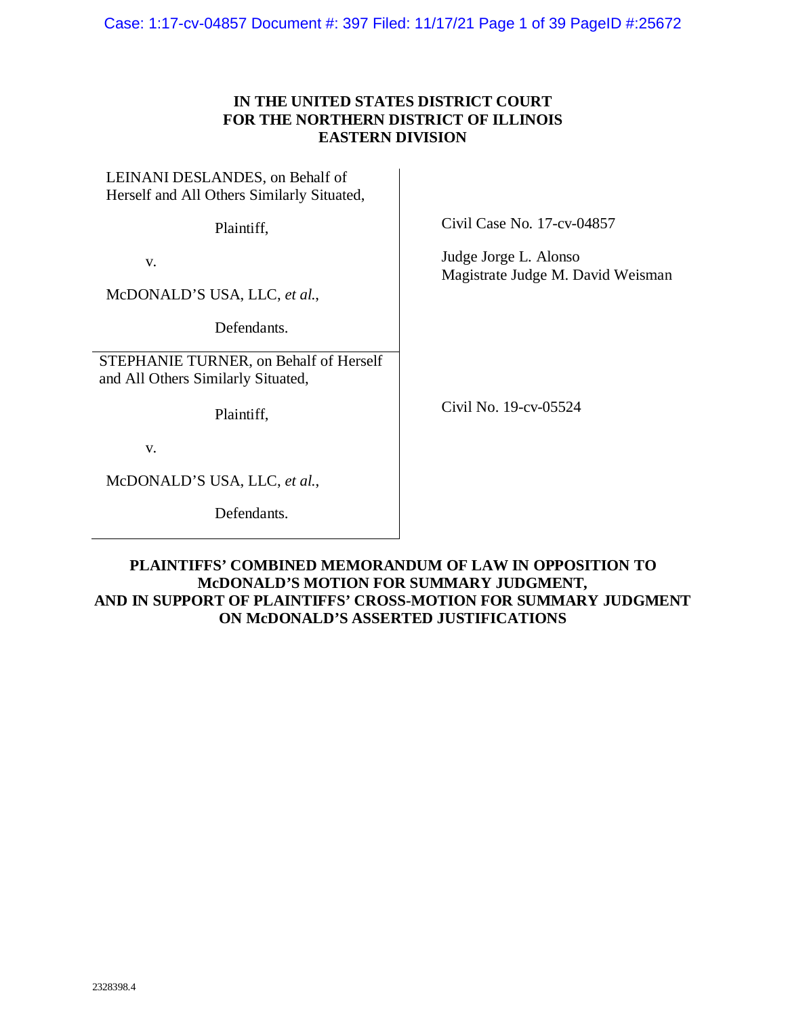Case: 1:17-cv-04857 Document #: 397 Filed: 11/17/21 Page 1 of 39 PageID #:25672

## **IN THE UNITED STATES DISTRICT COURT FOR THE NORTHERN DISTRICT OF ILLINOIS EASTERN DIVISION**

LEINANI DESLANDES, on Behalf of Herself and All Others Similarly Situated,

Plaintiff,

v.

McDONALD'S USA, LLC, *et al.*,

Defendants.

STEPHANIE TURNER, on Behalf of Herself and All Others Similarly Situated,

Plaintiff,

v.

McDONALD'S USA, LLC, *et al.*,

Defendants.

Civil Case No. 17-cv-04857

Judge Jorge L. Alonso Magistrate Judge M. David Weisman

Civil No. 19-cv-05524

**PLAINTIFFS' COMBINED MEMORANDUM OF LAW IN OPPOSITION TO McDONALD'S MOTION FOR SUMMARY JUDGMENT, AND IN SUPPORT OF PLAINTIFFS' CROSS-MOTION FOR SUMMARY JUDGMENT ON McDONALD'S ASSERTED JUSTIFICATIONS**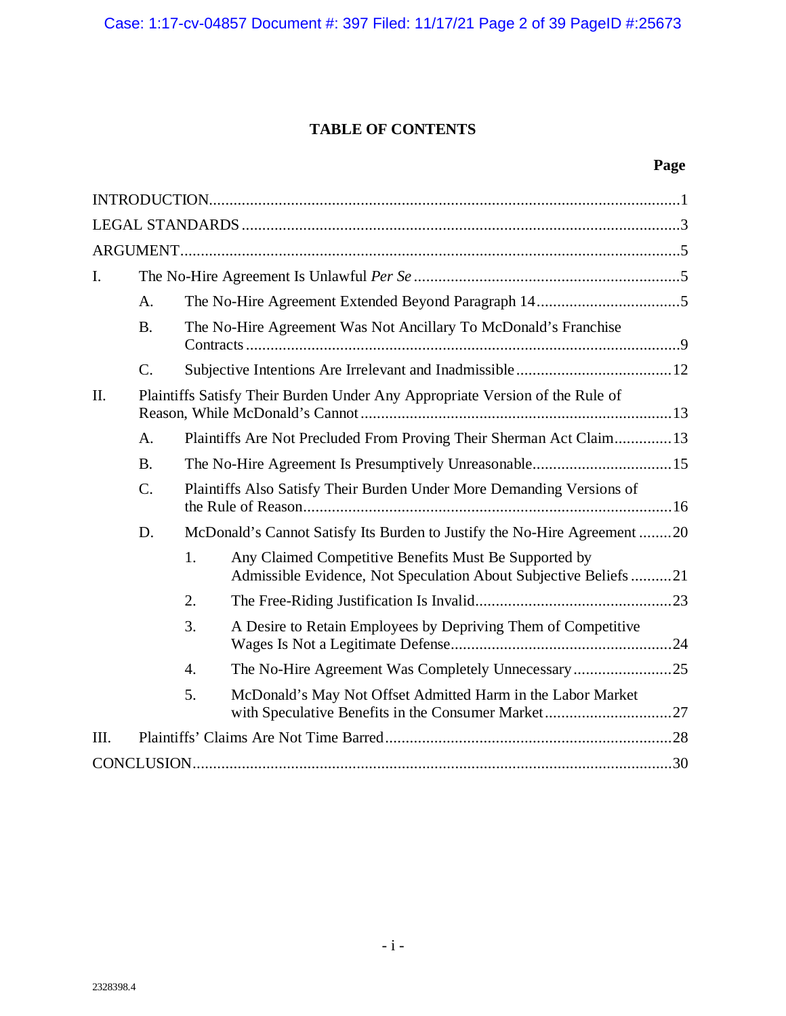Case: 1:17-cv-04857 Document #: 397 Filed: 11/17/21 Page 2 of 39 PageID #:25673

## **TABLE OF CONTENTS**

# **Page**

| I.   |                                                                              |                                                                       |                                                                                                                          |  |  |  |
|------|------------------------------------------------------------------------------|-----------------------------------------------------------------------|--------------------------------------------------------------------------------------------------------------------------|--|--|--|
|      | A.                                                                           |                                                                       |                                                                                                                          |  |  |  |
|      | <b>B.</b>                                                                    |                                                                       | The No-Hire Agreement Was Not Ancillary To McDonald's Franchise                                                          |  |  |  |
|      | $\mathcal{C}$ .                                                              |                                                                       |                                                                                                                          |  |  |  |
| II.  | Plaintiffs Satisfy Their Burden Under Any Appropriate Version of the Rule of |                                                                       |                                                                                                                          |  |  |  |
|      | A.                                                                           |                                                                       | Plaintiffs Are Not Precluded From Proving Their Sherman Act Claim13                                                      |  |  |  |
|      | <b>B.</b>                                                                    | The No-Hire Agreement Is Presumptively Unreasonable15                 |                                                                                                                          |  |  |  |
|      | $\mathcal{C}$ .                                                              | Plaintiffs Also Satisfy Their Burden Under More Demanding Versions of |                                                                                                                          |  |  |  |
|      | D.                                                                           |                                                                       | McDonald's Cannot Satisfy Its Burden to Justify the No-Hire Agreement 20                                                 |  |  |  |
|      |                                                                              | 1.                                                                    | Any Claimed Competitive Benefits Must Be Supported by<br>Admissible Evidence, Not Speculation About Subjective Beliefs21 |  |  |  |
|      |                                                                              | 2.                                                                    |                                                                                                                          |  |  |  |
|      |                                                                              | 3.                                                                    | A Desire to Retain Employees by Depriving Them of Competitive                                                            |  |  |  |
|      |                                                                              | 4.                                                                    |                                                                                                                          |  |  |  |
|      |                                                                              | 5.                                                                    | McDonald's May Not Offset Admitted Harm in the Labor Market                                                              |  |  |  |
| III. |                                                                              |                                                                       |                                                                                                                          |  |  |  |
|      |                                                                              |                                                                       |                                                                                                                          |  |  |  |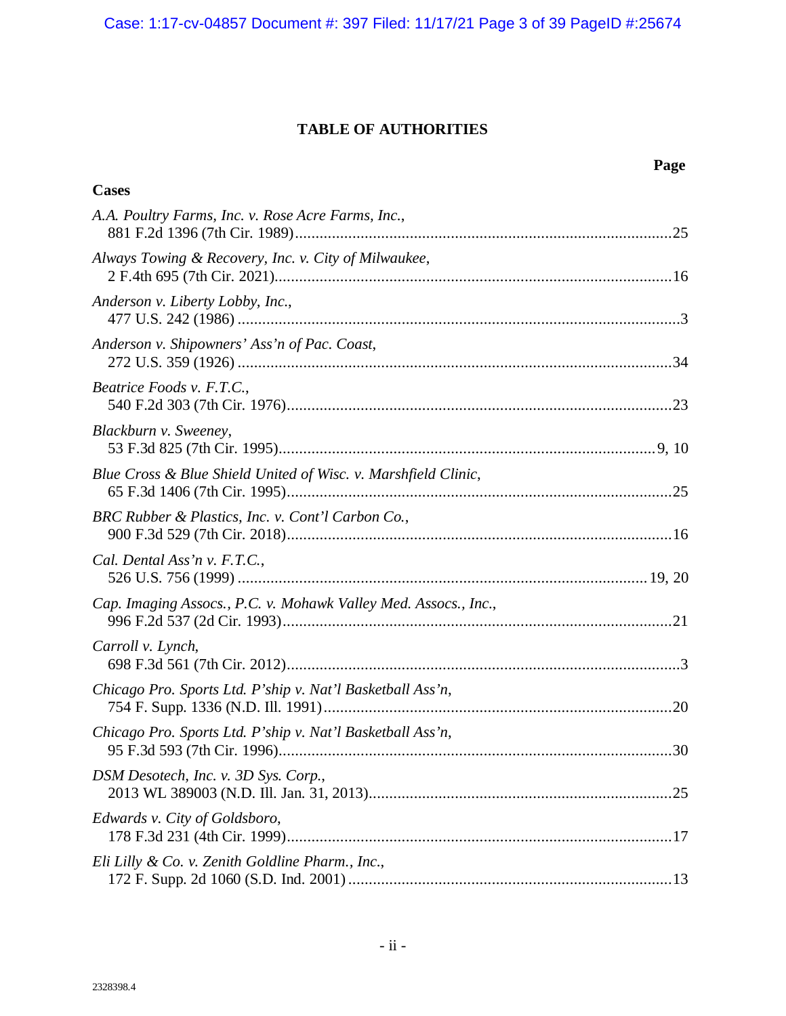## **TABLE OF AUTHORITIES**

|                                                                 | Page |
|-----------------------------------------------------------------|------|
| <b>Cases</b>                                                    |      |
| A.A. Poultry Farms, Inc. v. Rose Acre Farms, Inc.,              |      |
| Always Towing & Recovery, Inc. v. City of Milwaukee,            |      |
| Anderson v. Liberty Lobby, Inc.,                                |      |
| Anderson v. Shipowners' Ass'n of Pac. Coast,                    |      |
| Beatrice Foods v. F.T.C.,                                       |      |
| Blackburn v. Sweeney,                                           |      |
| Blue Cross & Blue Shield United of Wisc. v. Marshfield Clinic,  |      |
| BRC Rubber & Plastics, Inc. v. Cont'l Carbon Co.,               |      |
| Cal. Dental Ass'n v. F.T.C.,                                    |      |
| Cap. Imaging Assocs., P.C. v. Mohawk Valley Med. Assocs., Inc., |      |
| Carroll v. Lynch,                                               |      |
| Chicago Pro. Sports Ltd. P'ship v. Nat'l Basketball Ass'n,      |      |
| Chicago Pro. Sports Ltd. P'ship v. Nat'l Basketball Ass'n,      |      |
| DSM Desotech, Inc. v. 3D Sys. Corp.,                            |      |
| Edwards v. City of Goldsboro,                                   |      |
| Eli Lilly & Co. v. Zenith Goldline Pharm., Inc.,                |      |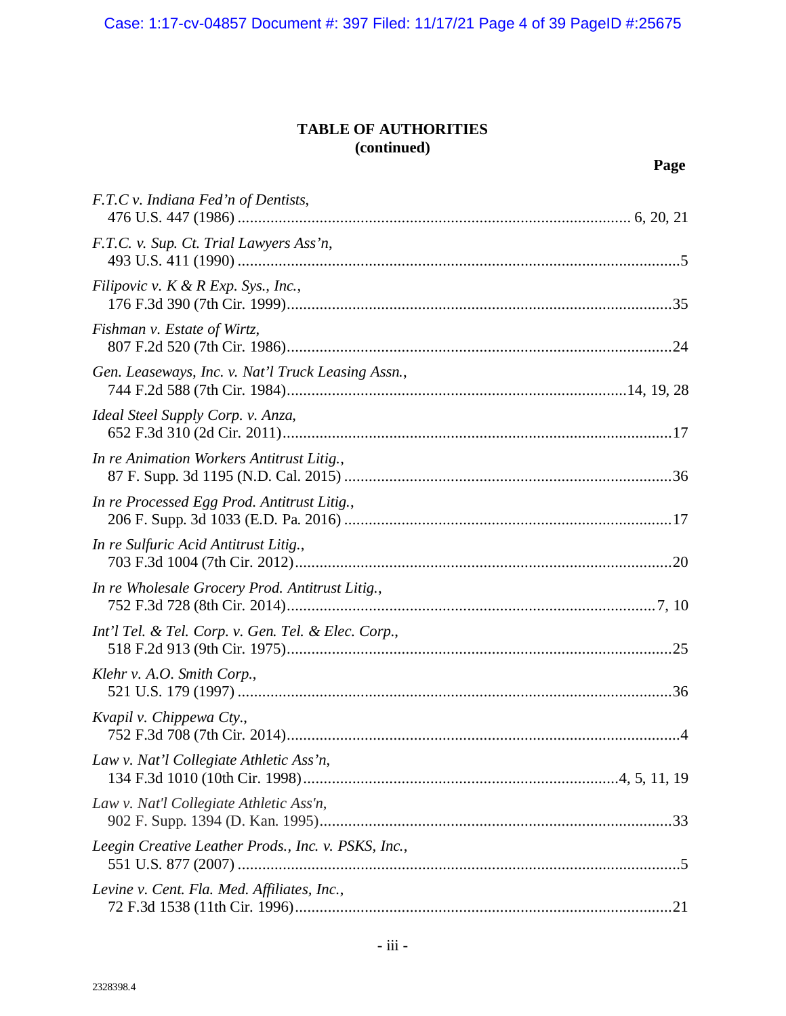Case: 1:17-cv-04857 Document #: 397 Filed: 11/17/21 Page 4 of 39 PageID #:25675

| F.T.C v. Indiana Fed'n of Dentists,                 |
|-----------------------------------------------------|
| F.T.C. v. Sup. Ct. Trial Lawyers Ass'n,             |
| Filipovic v. $K \& R \, Exp. \, Sys., Inc.,$        |
| Fishman v. Estate of Wirtz,                         |
| Gen. Leaseways, Inc. v. Nat'l Truck Leasing Assn.,  |
| Ideal Steel Supply Corp. v. Anza,                   |
| In re Animation Workers Antitrust Litig.,           |
| In re Processed Egg Prod. Antitrust Litig.,         |
| In re Sulfuric Acid Antitrust Litig.,               |
| In re Wholesale Grocery Prod. Antitrust Litig.,     |
| Int'l Tel. & Tel. Corp. v. Gen. Tel. & Elec. Corp., |
| Klehr v. A.O. Smith Corp.,                          |
| Kvapil v. Chippewa Cty.,                            |
| Law v. Nat'l Collegiate Athletic Ass'n,             |
| Law v. Nat'l Collegiate Athletic Ass'n,             |
| Leegin Creative Leather Prods., Inc. v. PSKS, Inc., |
| Levine v. Cent. Fla. Med. Affiliates, Inc.,         |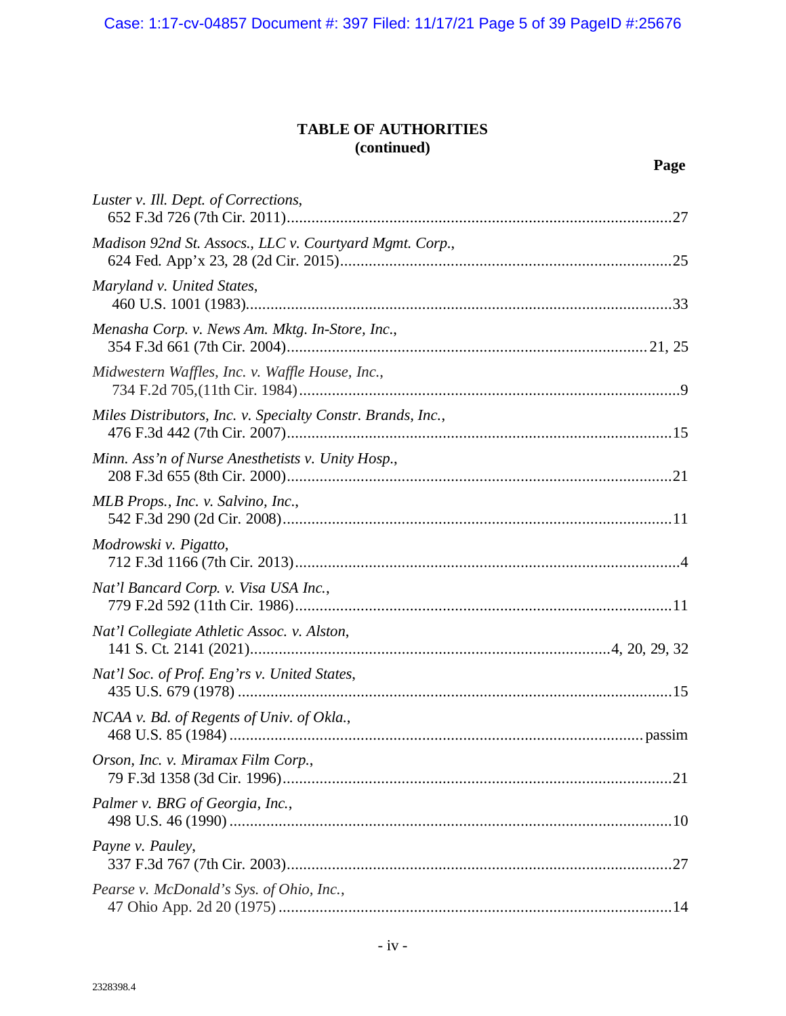| Luster v. Ill. Dept. of Corrections,                        |
|-------------------------------------------------------------|
| Madison 92nd St. Assocs., LLC v. Courtyard Mgmt. Corp.,     |
| Maryland v. United States,                                  |
| Menasha Corp. v. News Am. Mktg. In-Store, Inc.,             |
| Midwestern Waffles, Inc. v. Waffle House, Inc.,             |
| Miles Distributors, Inc. v. Specialty Constr. Brands, Inc., |
| Minn. Ass'n of Nurse Anesthetists v. Unity Hosp.,           |
| MLB Props., Inc. v. Salvino, Inc.,                          |
| Modrowski v. Pigatto,                                       |
| Nat'l Bancard Corp. v. Visa USA Inc.,                       |
| Nat'l Collegiate Athletic Assoc. v. Alston,                 |
| Nat'l Soc. of Prof. Eng'rs v. United States,                |
| NCAA v. Bd. of Regents of Univ. of Okla.,                   |
| Orson, Inc. v. Miramax Film Corp.,                          |
| Palmer v. BRG of Georgia, Inc.,                             |
| Payne v. Pauley,                                            |
| Pearse v. McDonald's Sys. of Ohio, Inc.,                    |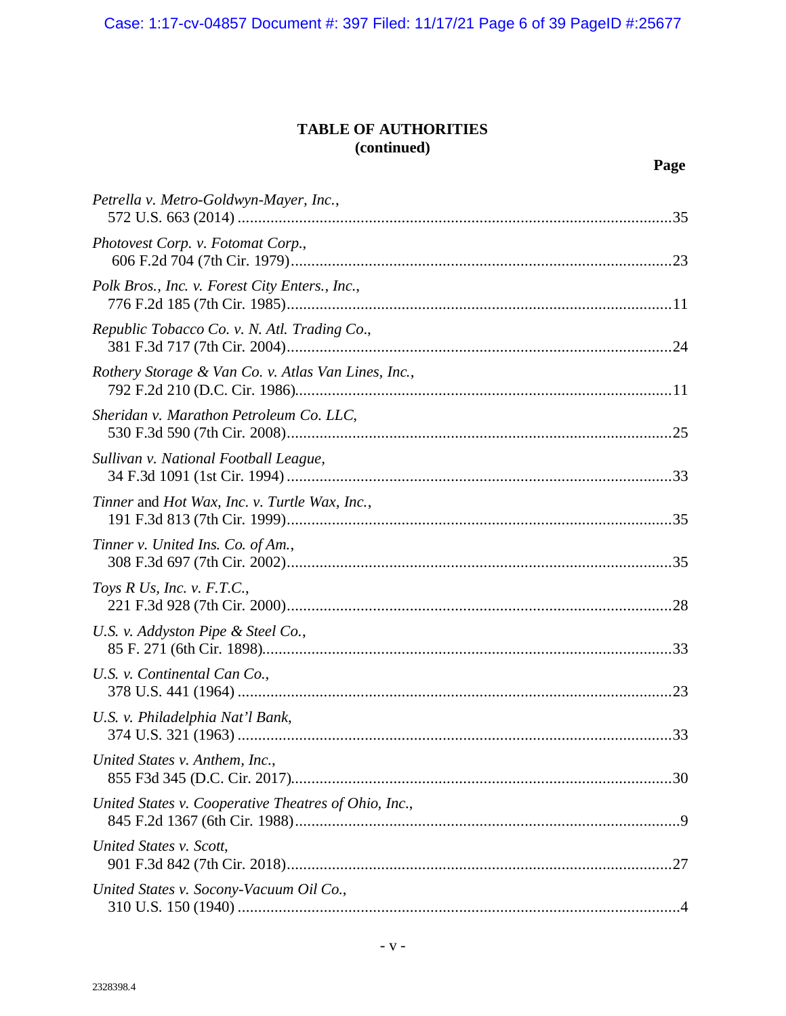Case: 1:17-cv-04857 Document #: 397 Filed: 11/17/21 Page 6 of 39 PageID #:25677

| Petrella v. Metro-Goldwyn-Mayer, Inc.,               |
|------------------------------------------------------|
| Photovest Corp. v. Fotomat Corp.,                    |
| Polk Bros., Inc. v. Forest City Enters., Inc.,       |
| Republic Tobacco Co. v. N. Atl. Trading Co.,         |
| Rothery Storage & Van Co. v. Atlas Van Lines, Inc.,  |
| Sheridan v. Marathon Petroleum Co. LLC,              |
| Sullivan v. National Football League,                |
| Tinner and Hot Wax, Inc. v. Turtle Wax, Inc.,        |
| Tinner v. United Ins. Co. of Am.,                    |
| Toys R Us, Inc. v. $F.T.C.,$                         |
| U.S. v. Addyston Pipe & Steel Co.,                   |
| U.S. v. Continental Can Co.,                         |
| U.S. v. Philadelphia Nat'l Bank,                     |
| United States v. Anthem, Inc.,                       |
| United States v. Cooperative Theatres of Ohio, Inc., |
| United States v. Scott,                              |
| United States v. Socony-Vacuum Oil Co.,              |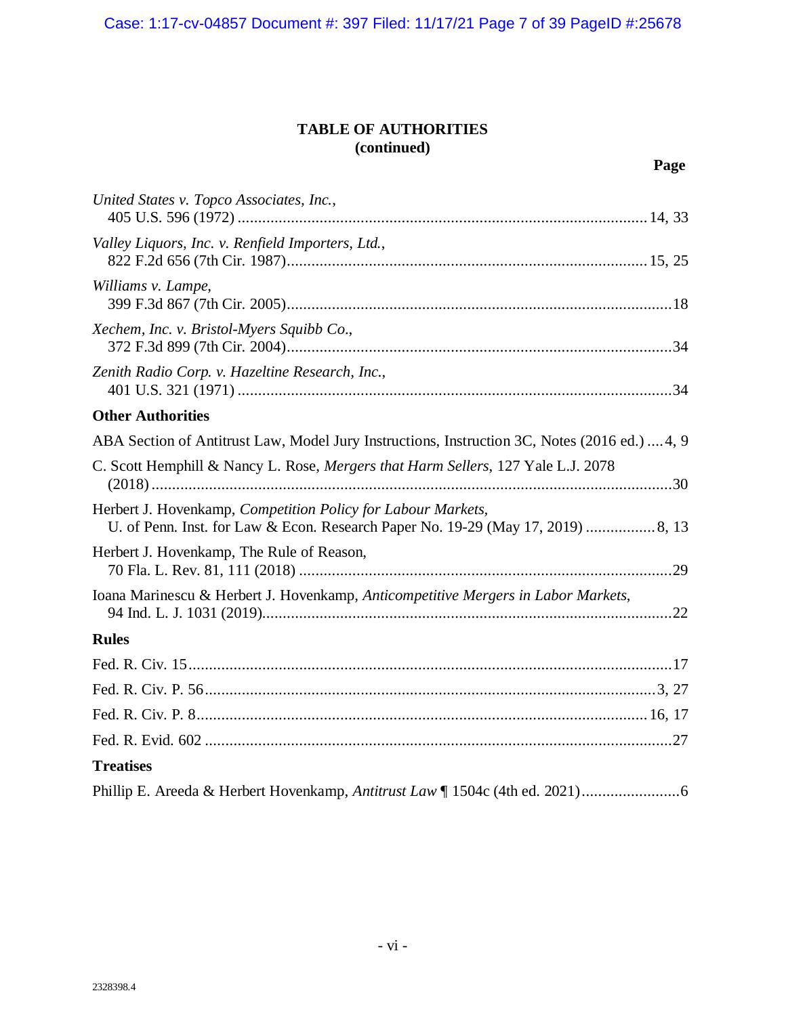Case: 1:17-cv-04857 Document #: 397 Filed: 11/17/21 Page 7 of 39 PageID #:25678

| United States v. Topco Associates, Inc.,                                                                                                         |
|--------------------------------------------------------------------------------------------------------------------------------------------------|
| Valley Liquors, Inc. v. Renfield Importers, Ltd.,                                                                                                |
| Williams v. Lampe,                                                                                                                               |
| Xechem, Inc. v. Bristol-Myers Squibb Co.,                                                                                                        |
| Zenith Radio Corp. v. Hazeltine Research, Inc.,                                                                                                  |
| <b>Other Authorities</b>                                                                                                                         |
| ABA Section of Antitrust Law, Model Jury Instructions, Instruction 3C, Notes (2016 ed.)  4, 9                                                    |
| C. Scott Hemphill & Nancy L. Rose, Mergers that Harm Sellers, 127 Yale L.J. 2078                                                                 |
| Herbert J. Hovenkamp, Competition Policy for Labour Markets,<br>U. of Penn. Inst. for Law & Econ. Research Paper No. 19-29 (May 17, 2019)  8, 13 |
| Herbert J. Hovenkamp, The Rule of Reason,                                                                                                        |
| Ioana Marinescu & Herbert J. Hovenkamp, Anticompetitive Mergers in Labor Markets,                                                                |
| <b>Rules</b>                                                                                                                                     |
|                                                                                                                                                  |
|                                                                                                                                                  |
|                                                                                                                                                  |
|                                                                                                                                                  |
| <b>Treatises</b>                                                                                                                                 |
|                                                                                                                                                  |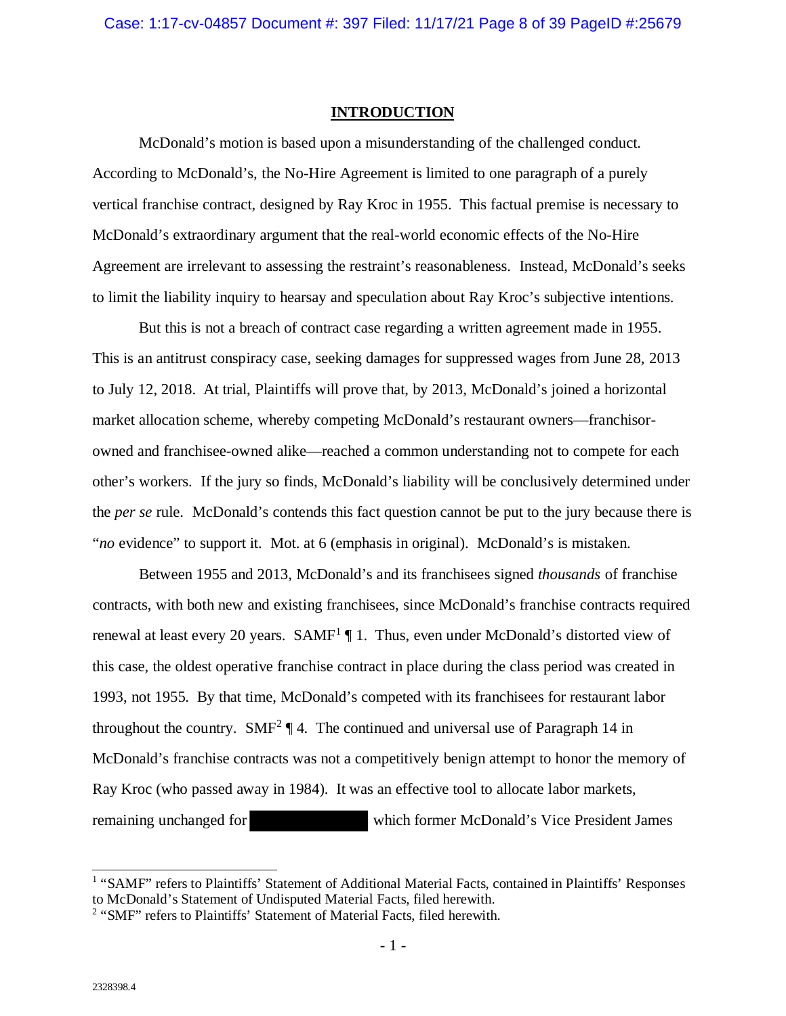#### **INTRODUCTION**

<span id="page-7-0"></span>McDonald's motion is based upon a misunderstanding of the challenged conduct. According to McDonald's, the No-Hire Agreement is limited to one paragraph of a purely vertical franchise contract, designed by Ray Kroc in 1955. This factual premise is necessary to McDonald's extraordinary argument that the real-world economic effects of the No-Hire Agreement are irrelevant to assessing the restraint's reasonableness. Instead, McDonald's seeks to limit the liability inquiry to hearsay and speculation about Ray Kroc's subjective intentions.

But this is not a breach of contract case regarding a written agreement made in 1955. This is an antitrust conspiracy case, seeking damages for suppressed wages from June 28, 2013 to July 12, 2018. At trial, Plaintiffs will prove that, by 2013, McDonald's joined a horizontal market allocation scheme, whereby competing McDonald's restaurant owners—franchisorowned and franchisee-owned alike—reached a common understanding not to compete for each other's workers. If the jury so finds, McDonald's liability will be conclusively determined under the *per se* rule. McDonald's contends this fact question cannot be put to the jury because there is "*no* evidence" to support it. Mot. at 6 (emphasis in original). McDonald's is mistaken.

Between 1955 and 2013, McDonald's and its franchisees signed *thousands* of franchise contracts, with both new and existing franchisees, since McDonald's franchise contracts required renewal at least every 20 years.  $SAMF<sup>1</sup>$  $SAMF<sup>1</sup>$  $SAMF<sup>1</sup>$  1. Thus, even under McDonald's distorted view of this case, the oldest operative franchise contract in place during the class period was created in 1993, not 1955. By that time, McDonald's competed with its franchisees for restaurant labor throughout the country.  $SMF^2 \P 4$  $SMF^2 \P 4$  $SMF^2 \P 4$ . The continued and universal use of Paragraph 14 in McDonald's franchise contracts was not a competitively benign attempt to honor the memory of Ray Kroc (who passed away in 1984). It was an effective tool to allocate labor markets, remaining unchanged for which former McDonald's Vice President James

<span id="page-7-1"></span><sup>&</sup>lt;sup>1</sup> "SAMF" refers to Plaintiffs' Statement of Additional Material Facts, contained in Plaintiffs' Responses to McDonald's Statement of Undisputed Material Facts, filed herewith.

<span id="page-7-2"></span><sup>&</sup>lt;sup>2</sup> "SMF" refers to Plaintiffs' Statement of Material Facts, filed herewith.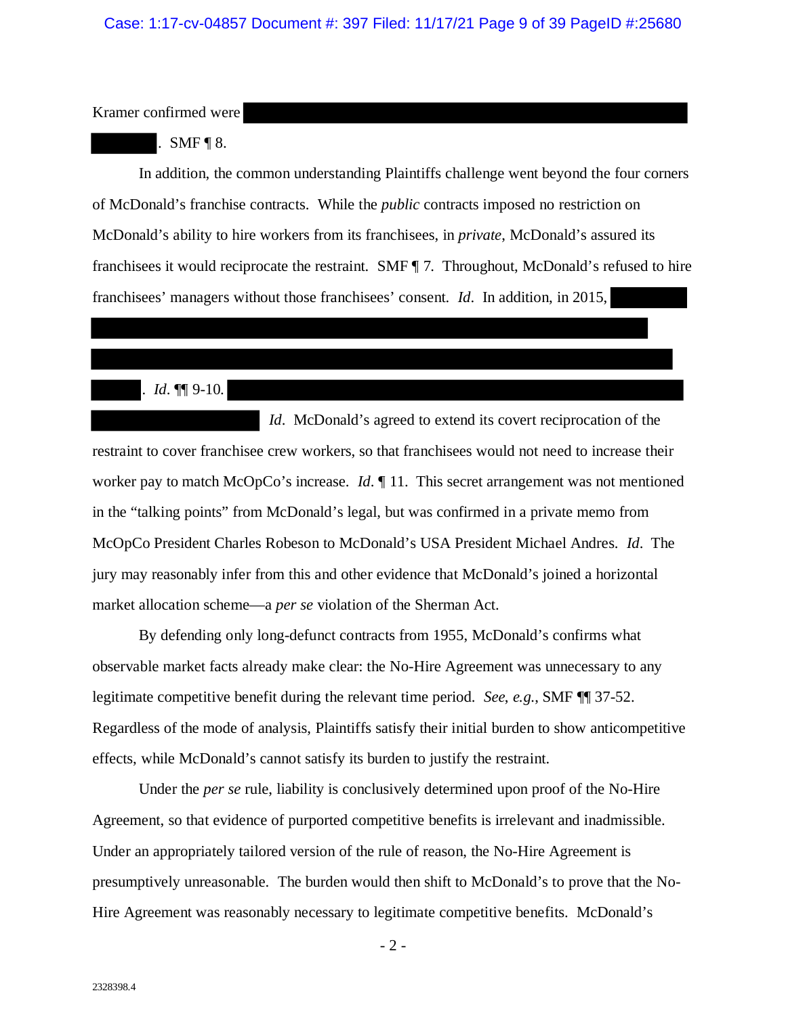Kramer confirmed were

### $SMF \P 8.$

In addition, the common understanding Plaintiffs challenge went beyond the four corners of McDonald's franchise contracts. While the *public* contracts imposed no restriction on McDonald's ability to hire workers from its franchisees, in *private*, McDonald's assured its franchisees it would reciprocate the restraint. SMF ¶ 7. Throughout, McDonald's refused to hire franchisees' managers without those franchisees' consent. *Id*. In addition, in 2015,

## . *Id*. ¶¶ 9-10.

*Id.* McDonald's agreed to extend its covert reciprocation of the restraint to cover franchisee crew workers, so that franchisees would not need to increase their worker pay to match McOpCo's increase. *Id*.  $\parallel$  11. This secret arrangement was not mentioned in the "talking points" from McDonald's legal, but was confirmed in a private memo from McOpCo President Charles Robeson to McDonald's USA President Michael Andres. *Id*. The jury may reasonably infer from this and other evidence that McDonald's joined a horizontal market allocation scheme—a *per se* violation of the Sherman Act.

By defending only long-defunct contracts from 1955, McDonald's confirms what observable market facts already make clear: the No-Hire Agreement was unnecessary to any legitimate competitive benefit during the relevant time period. *See*, *e.g.*, SMF ¶¶ 37-52. Regardless of the mode of analysis, Plaintiffs satisfy their initial burden to show anticompetitive effects, while McDonald's cannot satisfy its burden to justify the restraint.

Under the *per se* rule, liability is conclusively determined upon proof of the No-Hire Agreement, so that evidence of purported competitive benefits is irrelevant and inadmissible. Under an appropriately tailored version of the rule of reason, the No-Hire Agreement is presumptively unreasonable. The burden would then shift to McDonald's to prove that the No-Hire Agreement was reasonably necessary to legitimate competitive benefits. McDonald's

- 2 -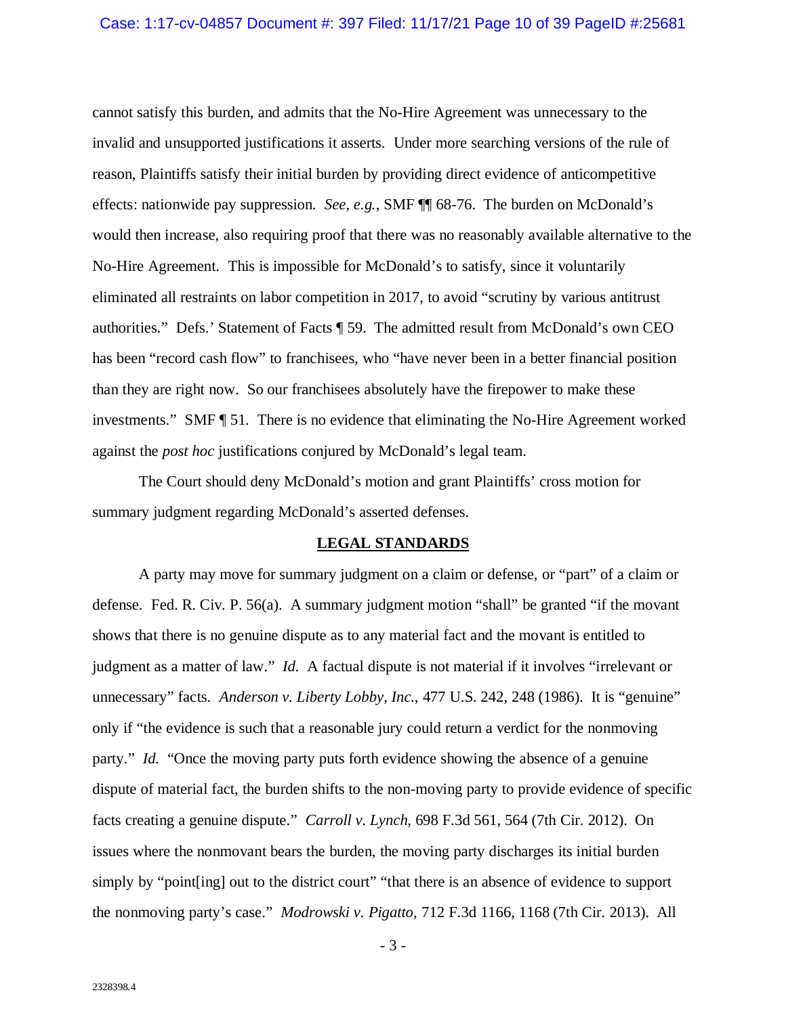cannot satisfy this burden, and admits that the No-Hire Agreement was unnecessary to the invalid and unsupported justifications it asserts. Under more searching versions of the rule of reason, Plaintiffs satisfy their initial burden by providing direct evidence of anticompetitive effects: nationwide pay suppression. *See*, *e.g.*, SMF ¶¶ 68-76. The burden on McDonald's would then increase, also requiring proof that there was no reasonably available alternative to the No-Hire Agreement. This is impossible for McDonald's to satisfy, since it voluntarily eliminated all restraints on labor competition in 2017, to avoid "scrutiny by various antitrust authorities." Defs.' Statement of Facts ¶ 59. The admitted result from McDonald's own CEO has been "record cash flow" to franchisees, who "have never been in a better financial position than they are right now. So our franchisees absolutely have the firepower to make these investments." SMF ¶ 51. There is no evidence that eliminating the No-Hire Agreement worked against the *post hoc* justifications conjured by McDonald's legal team.

The Court should deny McDonald's motion and grant Plaintiffs' cross motion for summary judgment regarding McDonald's asserted defenses.

#### **LEGAL STANDARDS**

<span id="page-9-0"></span>A party may move for summary judgment on a claim or defense, or "part" of a claim or defense. Fed. R. Civ. P. 56(a). A summary judgment motion "shall" be granted "if the movant shows that there is no genuine dispute as to any material fact and the movant is entitled to judgment as a matter of law." *Id.* A factual dispute is not material if it involves "irrelevant or unnecessary" facts. *Anderson v. Liberty Lobby, Inc.*, 477 U.S. 242, 248 (1986). It is "genuine" only if "the evidence is such that a reasonable jury could return a verdict for the nonmoving party." *Id.* "Once the moving party puts forth evidence showing the absence of a genuine dispute of material fact, the burden shifts to the non-moving party to provide evidence of specific facts creating a genuine dispute." *Carroll v. Lynch*, 698 F.3d 561, 564 (7th Cir. 2012). On issues where the nonmovant bears the burden, the moving party discharges its initial burden simply by "point [ing] out to the district court" "that there is an absence of evidence to support the nonmoving party's case." *Modrowski v. Pigatto*, 712 F.3d 1166, 1168 (7th Cir. 2013). All

- 3 -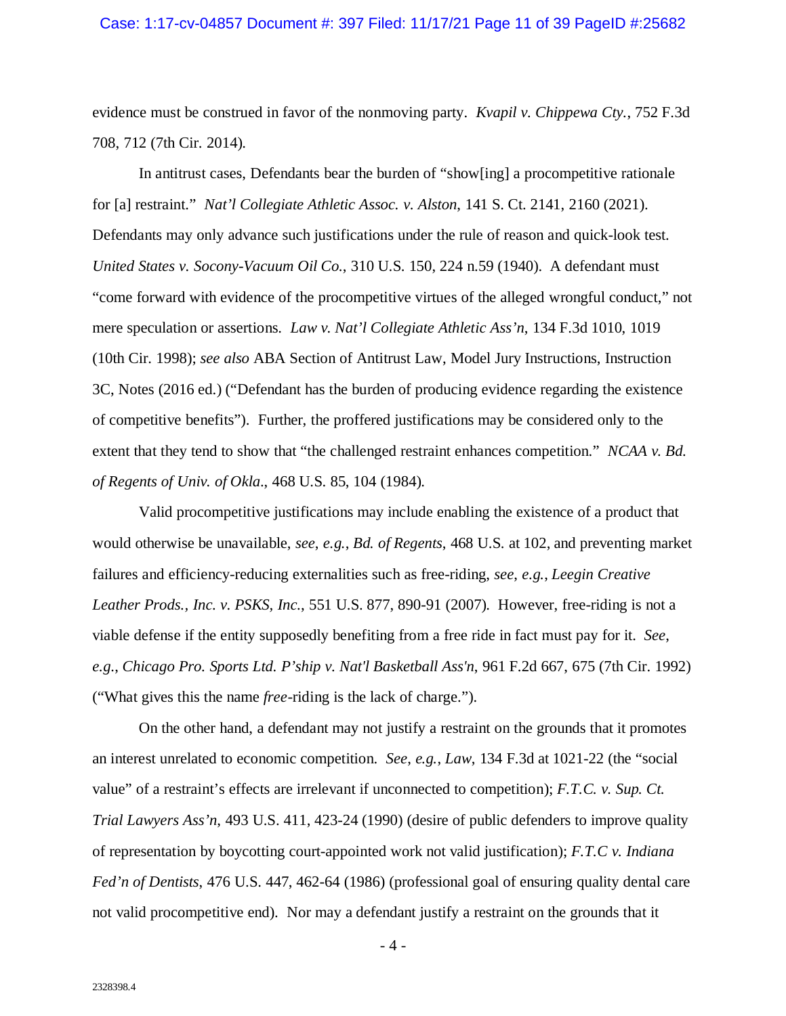evidence must be construed in favor of the nonmoving party. *Kvapil v. Chippewa Cty.*, 752 F.3d 708, 712 (7th Cir. 2014).

In antitrust cases, Defendants bear the burden of "show[ing] a procompetitive rationale for [a] restraint." *Nat'l Collegiate Athletic Assoc. v. Alston*, 141 S. Ct. 2141, 2160 (2021). Defendants may only advance such justifications under the rule of reason and quick-look test. *United States v. Socony-Vacuum Oil Co.*, 310 U.S. 150, 224 n.59 (1940). A defendant must "come forward with evidence of the procompetitive virtues of the alleged wrongful conduct," not mere speculation or assertions. *Law v. Nat'l Collegiate Athletic Ass'n*, 134 F.3d 1010, 1019 (10th Cir. 1998); *see also* ABA Section of Antitrust Law, Model Jury Instructions, Instruction 3C, Notes (2016 ed.) ("Defendant has the burden of producing evidence regarding the existence of competitive benefits"). Further, the proffered justifications may be considered only to the extent that they tend to show that "the challenged restraint enhances competition." *NCAA v. Bd. of Regents of Univ. of Okla*., 468 U.S. 85, 104 (1984).

Valid procompetitive justifications may include enabling the existence of a product that would otherwise be unavailable, *see*, *e.g.*, *Bd. of Regents*, 468 U.S. at 102, and preventing market failures and efficiency-reducing externalities such as free-riding, *see*, *e.g.*, *Leegin Creative Leather Prods., Inc. v. PSKS, Inc.*, 551 U.S. 877, 890-91 (2007). However, free-riding is not a viable defense if the entity supposedly benefiting from a free ride in fact must pay for it. *See*, *e.g.*, *Chicago Pro. Sports Ltd. P'ship v. Nat'l Basketball Ass'n*, 961 F.2d 667, 675 (7th Cir. 1992) ("What gives this the name *free*-riding is the lack of charge.").

On the other hand, a defendant may not justify a restraint on the grounds that it promotes an interest unrelated to economic competition. *See*, *e.g.*, *Law*, 134 F.3d at 1021-22 (the "social value" of a restraint's effects are irrelevant if unconnected to competition); *F.T.C. v. Sup. Ct. Trial Lawyers Ass'n*, 493 U.S. 411, 423-24 (1990) (desire of public defenders to improve quality of representation by boycotting court-appointed work not valid justification); *F.T.C v. Indiana Fed'n of Dentists*, 476 U.S. 447, 462-64 (1986) (professional goal of ensuring quality dental care not valid procompetitive end). Nor may a defendant justify a restraint on the grounds that it

 $-4-$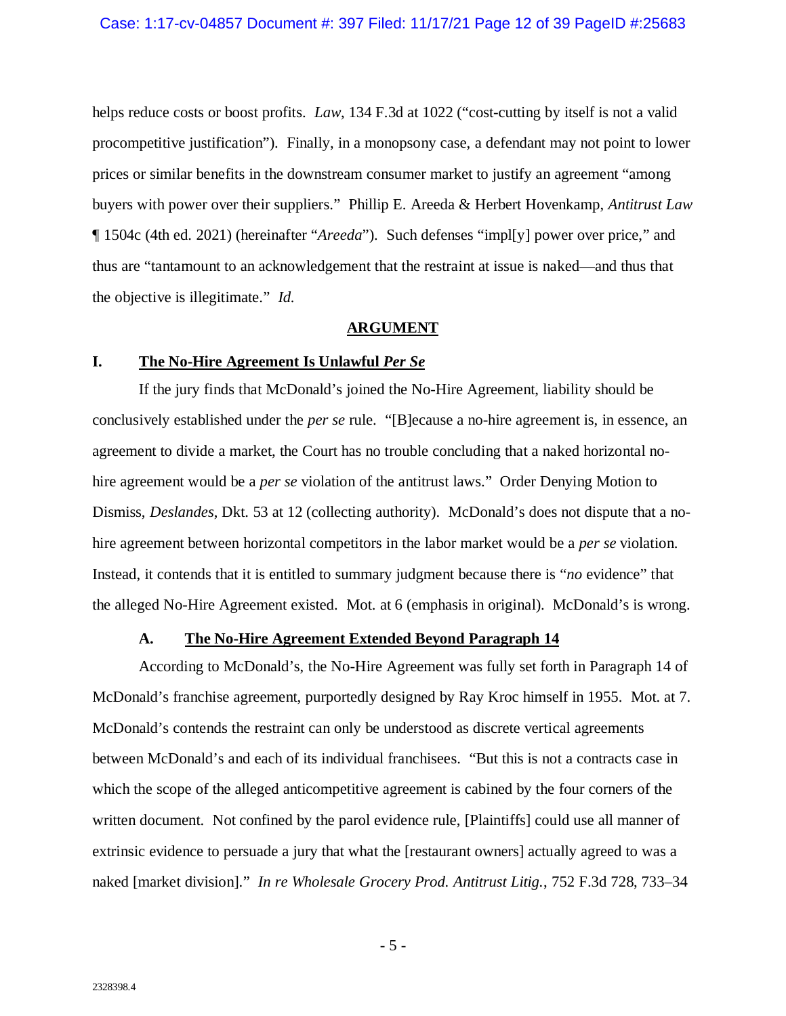helps reduce costs or boost profits. *Law*, 134 F.3d at 1022 ("cost-cutting by itself is not a valid procompetitive justification"). Finally, in a monopsony case, a defendant may not point to lower prices or similar benefits in the downstream consumer market to justify an agreement "among buyers with power over their suppliers." Phillip E. Areeda & Herbert Hovenkamp, *Antitrust Law*  ¶ 1504c (4th ed. 2021) (hereinafter "*Areeda*"). Such defenses "impl[y] power over price," and thus are "tantamount to an acknowledgement that the restraint at issue is naked—and thus that the objective is illegitimate." *Id.*

#### **ARGUMENT**

### <span id="page-11-1"></span><span id="page-11-0"></span>**I. The No-Hire Agreement Is Unlawful** *Per Se*

If the jury finds that McDonald's joined the No-Hire Agreement, liability should be conclusively established under the *per se* rule. "[B]ecause a no-hire agreement is, in essence, an agreement to divide a market, the Court has no trouble concluding that a naked horizontal nohire agreement would be a *per se* violation of the antitrust laws." Order Denying Motion to Dismiss, *Deslandes*, Dkt. 53 at 12 (collecting authority). McDonald's does not dispute that a nohire agreement between horizontal competitors in the labor market would be a *per se* violation. Instead, it contends that it is entitled to summary judgment because there is "*no* evidence" that the alleged No-Hire Agreement existed. Mot. at 6 (emphasis in original). McDonald's is wrong.

## **A. The No-Hire Agreement Extended Beyond Paragraph 14**

<span id="page-11-2"></span>According to McDonald's, the No-Hire Agreement was fully set forth in Paragraph 14 of McDonald's franchise agreement, purportedly designed by Ray Kroc himself in 1955. Mot. at 7. McDonald's contends the restraint can only be understood as discrete vertical agreements between McDonald's and each of its individual franchisees. "But this is not a contracts case in which the scope of the alleged anticompetitive agreement is cabined by the four corners of the written document. Not confined by the parol evidence rule, [Plaintiffs] could use all manner of extrinsic evidence to persuade a jury that what the [restaurant owners] actually agreed to was a naked [market division]." *In re Wholesale Grocery Prod. Antitrust Litig.*, 752 F.3d 728, 733–34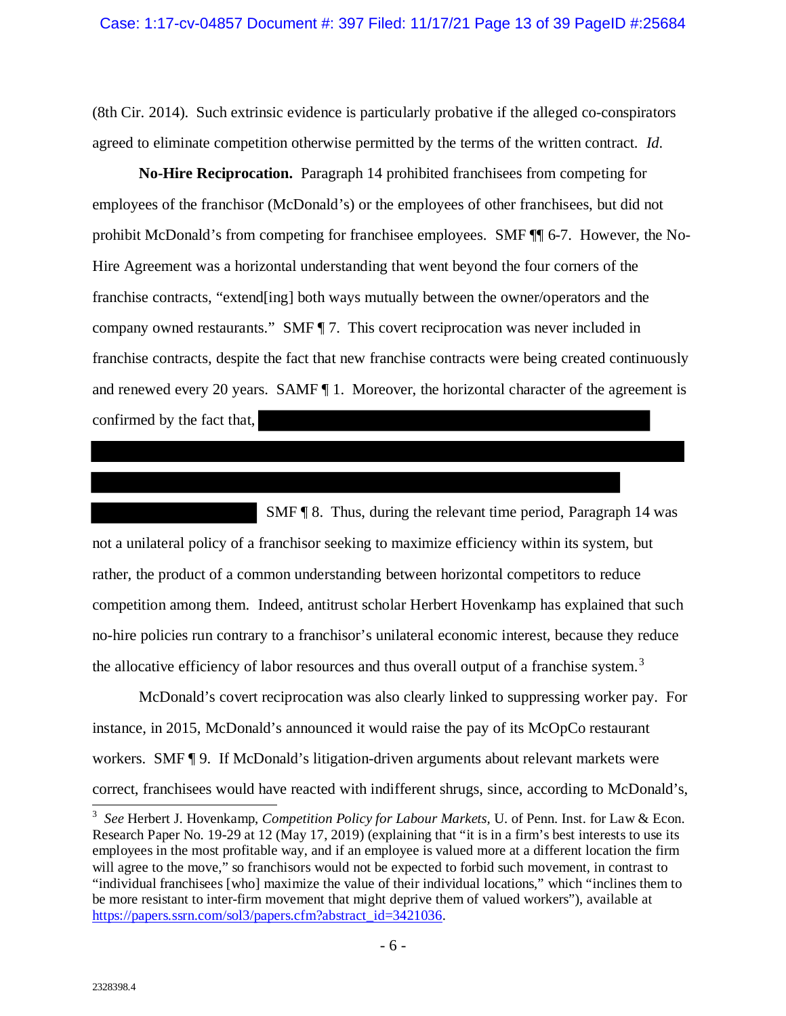(8th Cir. 2014). Such extrinsic evidence is particularly probative if the alleged co-conspirators agreed to eliminate competition otherwise permitted by the terms of the written contract. *Id*.

**No-Hire Reciprocation.** Paragraph 14 prohibited franchisees from competing for employees of the franchisor (McDonald's) or the employees of other franchisees, but did not prohibit McDonald's from competing for franchisee employees. SMF ¶¶ 6-7. However, the No-Hire Agreement was a horizontal understanding that went beyond the four corners of the franchise contracts, "extend[ing] both ways mutually between the owner/operators and the company owned restaurants." SMF ¶ 7. This covert reciprocation was never included in franchise contracts, despite the fact that new franchise contracts were being created continuously and renewed every 20 years. SAMF ¶ 1. Moreover, the horizontal character of the agreement is confirmed by the fact that,

 SMF ¶ 8. Thus, during the relevant time period, Paragraph 14 was not a unilateral policy of a franchisor seeking to maximize efficiency within its system, but rather, the product of a common understanding between horizontal competitors to reduce competition among them. Indeed, antitrust scholar Herbert Hovenkamp has explained that such no-hire policies run contrary to a franchisor's unilateral economic interest, because they reduce the allocative efficiency of labor resources and thus overall output of a franchise system.<sup>[3](#page-12-0)</sup>

<span id="page-12-1"></span>McDonald's covert reciprocation was also clearly linked to suppressing worker pay. For instance, in 2015, McDonald's announced it would raise the pay of its McOpCo restaurant workers. SMF  $\P$  9. If McDonald's litigation-driven arguments about relevant markets were correct, franchisees would have reacted with indifferent shrugs, since, according to McDonald's,

<span id="page-12-0"></span><sup>3</sup> *See* Herbert J. Hovenkamp, *Competition Policy for Labour Markets,* U. of Penn. Inst. for Law & Econ. Research Paper No. 19-29 at 12 (May 17, 2019) (explaining that "it is in a firm's best interests to use its employees in the most profitable way, and if an employee is valued more at a different location the firm will agree to the move," so franchisors would not be expected to forbid such movement, in contrast to "individual franchisees [who] maximize the value of their individual locations," which "inclines them to be more resistant to inter-firm movement that might deprive them of valued workers"), available at [https://papers.ssrn.com/sol3/papers.cfm?abstract\\_id=3421036.](https://papers.ssrn.com/sol3/papers.cfm?abstract_id=3421036)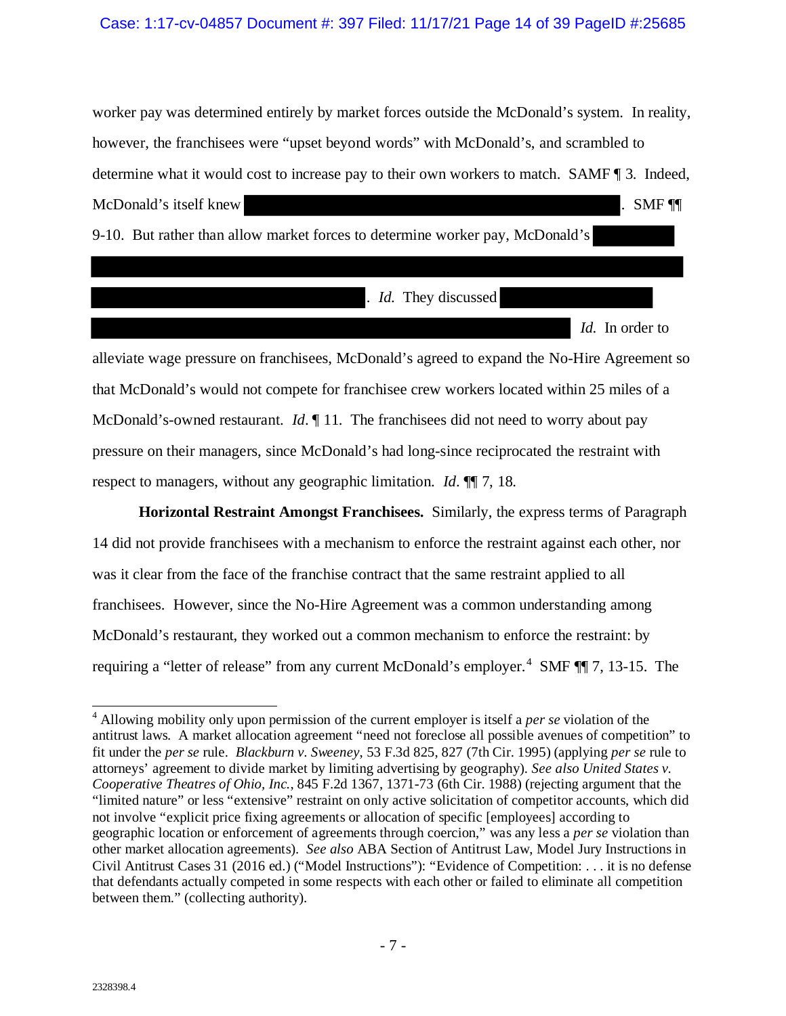#### Case: 1:17-cv-04857 Document #: 397 Filed: 11/17/21 Page 14 of 39 PageID #:25685

worker pay was determined entirely by market forces outside the McDonald's system. In reality, however, the franchisees were "upset beyond words" with McDonald's, and scrambled to determine what it would cost to increase pay to their own workers to match. SAMF ¶ 3. Indeed, McDonald's itself knew . SMF  $\P$ 9-10. But rather than allow market forces to determine worker pay, McDonald's

. *Id*. They discussed

*Id*. In order to

alleviate wage pressure on franchisees, McDonald's agreed to expand the No-Hire Agreement so that McDonald's would not compete for franchisee crew workers located within 25 miles of a McDonald's-owned restaurant. *Id*. 11. The franchisees did not need to worry about pay pressure on their managers, since McDonald's had long-since reciprocated the restraint with respect to managers, without any geographic limitation. *Id*. ¶¶ 7, 18.

**Horizontal Restraint Amongst Franchisees.** Similarly, the express terms of Paragraph 14 did not provide franchisees with a mechanism to enforce the restraint against each other, nor was it clear from the face of the franchise contract that the same restraint applied to all franchisees. However, since the No-Hire Agreement was a common understanding among McDonald's restaurant, they worked out a common mechanism to enforce the restraint: by requiring a "letter of release" from any current McDonald's employer.<sup>[4](#page-13-0)</sup> SMF ¶ 7, 13-15. The

 $\overline{a}$ 

<span id="page-13-0"></span><sup>4</sup> Allowing mobility only upon permission of the current employer is itself a *per se* violation of the antitrust laws. A market allocation agreement "need not foreclose all possible avenues of competition" to fit under the *per se* rule. *Blackburn v. Sweeney*, 53 F.3d 825, 827 (7th Cir. 1995) (applying *per se* rule to attorneys' agreement to divide market by limiting advertising by geography). *See also United States v. Cooperative Theatres of Ohio, Inc.*, 845 F.2d 1367, 1371-73 (6th Cir. 1988) (rejecting argument that the "limited nature" or less "extensive" restraint on only active solicitation of competitor accounts, which did not involve "explicit price fixing agreements or allocation of specific [employees] according to geographic location or enforcement of agreements through coercion," was any less a *per se* violation than other market allocation agreements). *See also* ABA Section of Antitrust Law, Model Jury Instructions in Civil Antitrust Cases 31 (2016 ed.) ("Model Instructions"): "Evidence of Competition: . . . it is no defense that defendants actually competed in some respects with each other or failed to eliminate all competition between them." (collecting authority).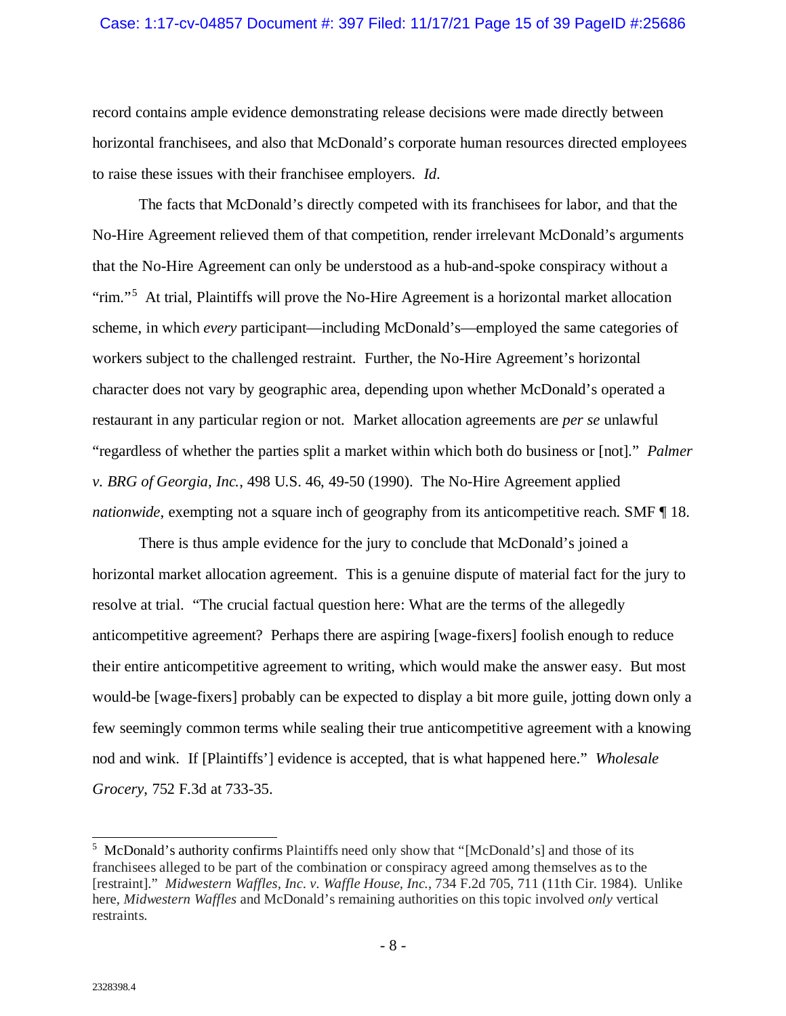#### Case: 1:17-cv-04857 Document #: 397 Filed: 11/17/21 Page 15 of 39 PageID #:25686

record contains ample evidence demonstrating release decisions were made directly between horizontal franchisees, and also that McDonald's corporate human resources directed employees to raise these issues with their franchisee employers. *Id*.

The facts that McDonald's directly competed with its franchisees for labor, and that the No-Hire Agreement relieved them of that competition, render irrelevant McDonald's arguments that the No-Hire Agreement can only be understood as a hub-and-spoke conspiracy without a "rim."<sup>[5](#page-14-0)</sup> At trial, Plaintiffs will prove the No-Hire Agreement is a horizontal market allocation scheme, in which *every* participant—including McDonald's—employed the same categories of workers subject to the challenged restraint. Further, the No-Hire Agreement's horizontal character does not vary by geographic area, depending upon whether McDonald's operated a restaurant in any particular region or not. Market allocation agreements are *per se* unlawful "regardless of whether the parties split a market within which both do business or [not]." *Palmer v. BRG of Georgia, Inc.*, 498 U.S. 46, 49-50 (1990). The No-Hire Agreement applied *nationwide*, exempting not a square inch of geography from its anticompetitive reach. SMF [18.

There is thus ample evidence for the jury to conclude that McDonald's joined a horizontal market allocation agreement. This is a genuine dispute of material fact for the jury to resolve at trial. "The crucial factual question here: What are the terms of the allegedly anticompetitive agreement? Perhaps there are aspiring [wage-fixers] foolish enough to reduce their entire anticompetitive agreement to writing, which would make the answer easy. But most would-be [wage-fixers] probably can be expected to display a bit more guile, jotting down only a few seemingly common terms while sealing their true anticompetitive agreement with a knowing nod and wink. If [Plaintiffs'] evidence is accepted, that is what happened here." *Wholesale Grocery*, 752 F.3d at 733-35.

<span id="page-14-0"></span><sup>&</sup>lt;sup>5</sup> McDonald's authority confirms Plaintiffs need only show that "[McDonald's] and those of its franchisees alleged to be part of the combination or conspiracy agreed among themselves as to the [restraint]." *Midwestern Waffles, Inc. v. Waffle House, Inc.*, 734 F.2d 705, 711 (11th Cir. 1984). Unlike here, *Midwestern Waffles* and McDonald's remaining authorities on this topic involved *only* vertical restraints.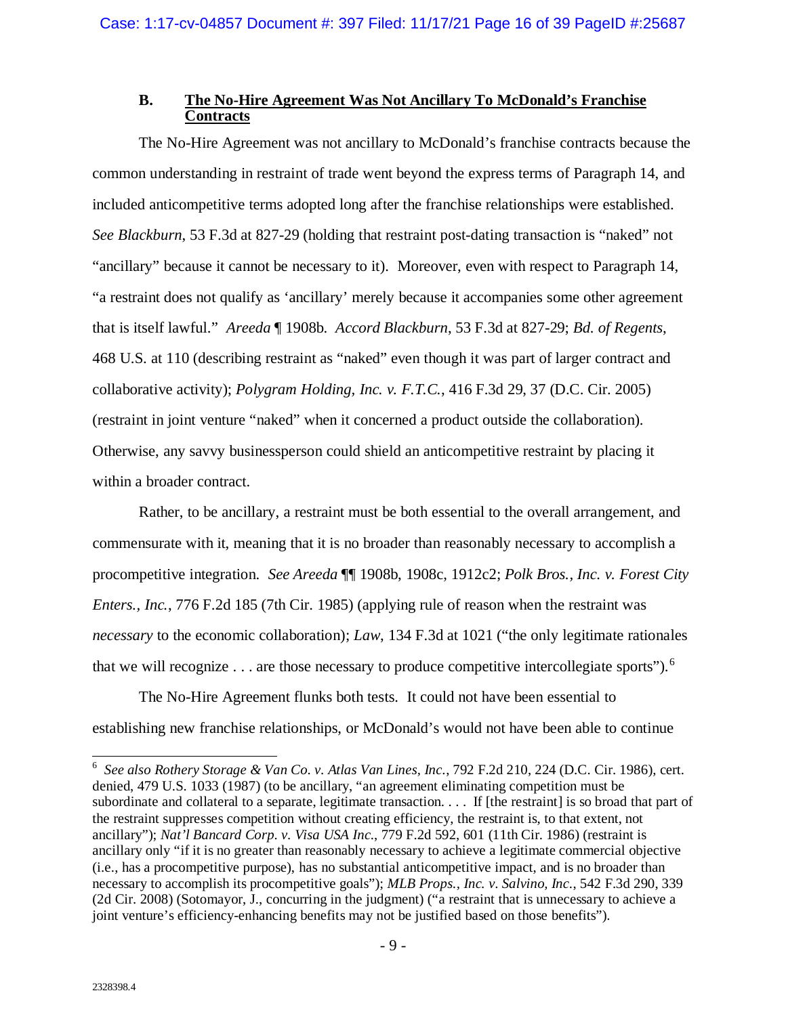## **B. The No-Hire Agreement Was Not Ancillary To McDonald's Franchise Contracts**

<span id="page-15-0"></span>The No-Hire Agreement was not ancillary to McDonald's franchise contracts because the common understanding in restraint of trade went beyond the express terms of Paragraph 14, and included anticompetitive terms adopted long after the franchise relationships were established. *See Blackburn*, 53 F.3d at 827-29 (holding that restraint post-dating transaction is "naked" not "ancillary" because it cannot be necessary to it). Moreover, even with respect to Paragraph 14, "a restraint does not qualify as 'ancillary' merely because it accompanies some other agreement that is itself lawful." *Areeda* ¶ 1908b. *Accord Blackburn*, 53 F.3d at 827-29; *Bd. of Regents*, 468 U.S. at 110 (describing restraint as "naked" even though it was part of larger contract and collaborative activity); *Polygram Holding, Inc. v. F.T.C.*, 416 F.3d 29, 37 (D.C. Cir. 2005) (restraint in joint venture "naked" when it concerned a product outside the collaboration). Otherwise, any savvy businessperson could shield an anticompetitive restraint by placing it within a broader contract.

Rather, to be ancillary, a restraint must be both essential to the overall arrangement, and commensurate with it, meaning that it is no broader than reasonably necessary to accomplish a procompetitive integration. *See Areeda* ¶¶ 1908b, 1908c, 1912c2; *Polk Bros., Inc. v. Forest City Enters., Inc.*, 776 F.2d 185 (7th Cir. 1985) (applying rule of reason when the restraint was *necessary* to the economic collaboration); *Law*, 134 F.3d at 1021 ("the only legitimate rationales that we will recognize  $\dots$  are those necessary to produce competitive intercollegiate sports").<sup>[6](#page-15-1)</sup>

The No-Hire Agreement flunks both tests. It could not have been essential to establishing new franchise relationships, or McDonald's would not have been able to continue

<span id="page-15-1"></span> <sup>6</sup> *See also Rothery Storage & Van Co. v. Atlas Van Lines, Inc.*, 792 F.2d 210, 224 (D.C. Cir. 1986), cert. denied, 479 U.S. 1033 (1987) (to be ancillary, "an agreement eliminating competition must be subordinate and collateral to a separate, legitimate transaction.  $\ldots$  If [the restraint] is so broad that part of the restraint suppresses competition without creating efficiency, the restraint is, to that extent, not ancillary"); *Nat'l Bancard Corp. v. Visa USA Inc.*, 779 F.2d 592, 601 (11th Cir. 1986) (restraint is ancillary only "if it is no greater than reasonably necessary to achieve a legitimate commercial objective (i.e., has a procompetitive purpose), has no substantial anticompetitive impact, and is no broader than necessary to accomplish its procompetitive goals"); *MLB Props., Inc. v. Salvino, Inc.*, 542 F.3d 290, 339 (2d Cir. 2008) (Sotomayor, J., concurring in the judgment) ("a restraint that is unnecessary to achieve a joint venture's efficiency-enhancing benefits may not be justified based on those benefits").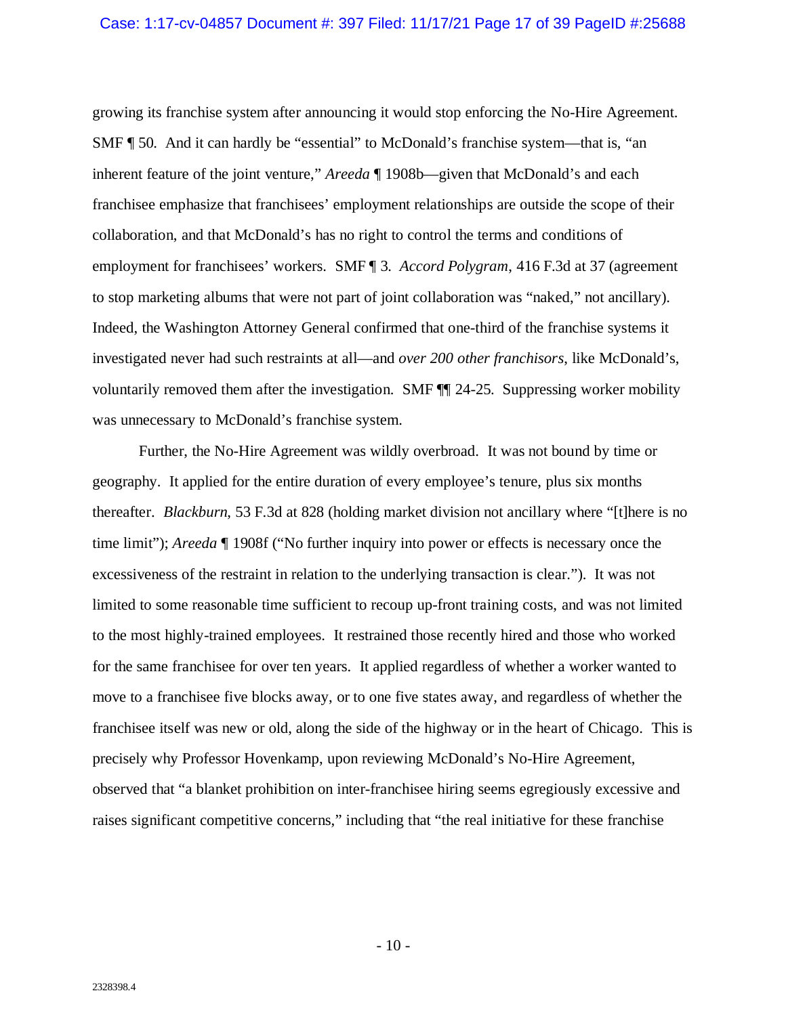#### Case: 1:17-cv-04857 Document #: 397 Filed: 11/17/21 Page 17 of 39 PageID #:25688

growing its franchise system after announcing it would stop enforcing the No-Hire Agreement. SMF ¶ 50. And it can hardly be "essential" to McDonald's franchise system—that is, "an inherent feature of the joint venture," *Areeda* ¶ 1908b—given that McDonald's and each franchisee emphasize that franchisees' employment relationships are outside the scope of their collaboration, and that McDonald's has no right to control the terms and conditions of employment for franchisees' workers. SMF ¶ 3. *Accord Polygram*, 416 F.3d at 37 (agreement to stop marketing albums that were not part of joint collaboration was "naked," not ancillary). Indeed, the Washington Attorney General confirmed that one-third of the franchise systems it investigated never had such restraints at all—and *over 200 other franchisors*, like McDonald's, voluntarily removed them after the investigation. SMF  $\P$  24-25. Suppressing worker mobility was unnecessary to McDonald's franchise system.

Further, the No-Hire Agreement was wildly overbroad. It was not bound by time or geography. It applied for the entire duration of every employee's tenure, plus six months thereafter. *Blackburn*, 53 F.3d at 828 (holding market division not ancillary where "[t]here is no time limit"); *Areeda* ¶ 1908f ("No further inquiry into power or effects is necessary once the excessiveness of the restraint in relation to the underlying transaction is clear."). It was not limited to some reasonable time sufficient to recoup up-front training costs, and was not limited to the most highly-trained employees. It restrained those recently hired and those who worked for the same franchisee for over ten years. It applied regardless of whether a worker wanted to move to a franchisee five blocks away, or to one five states away, and regardless of whether the franchisee itself was new or old, along the side of the highway or in the heart of Chicago. This is precisely why Professor Hovenkamp, upon reviewing McDonald's No-Hire Agreement, observed that "a blanket prohibition on inter-franchisee hiring seems egregiously excessive and raises significant competitive concerns," including that "the real initiative for these franchise

 $-10-$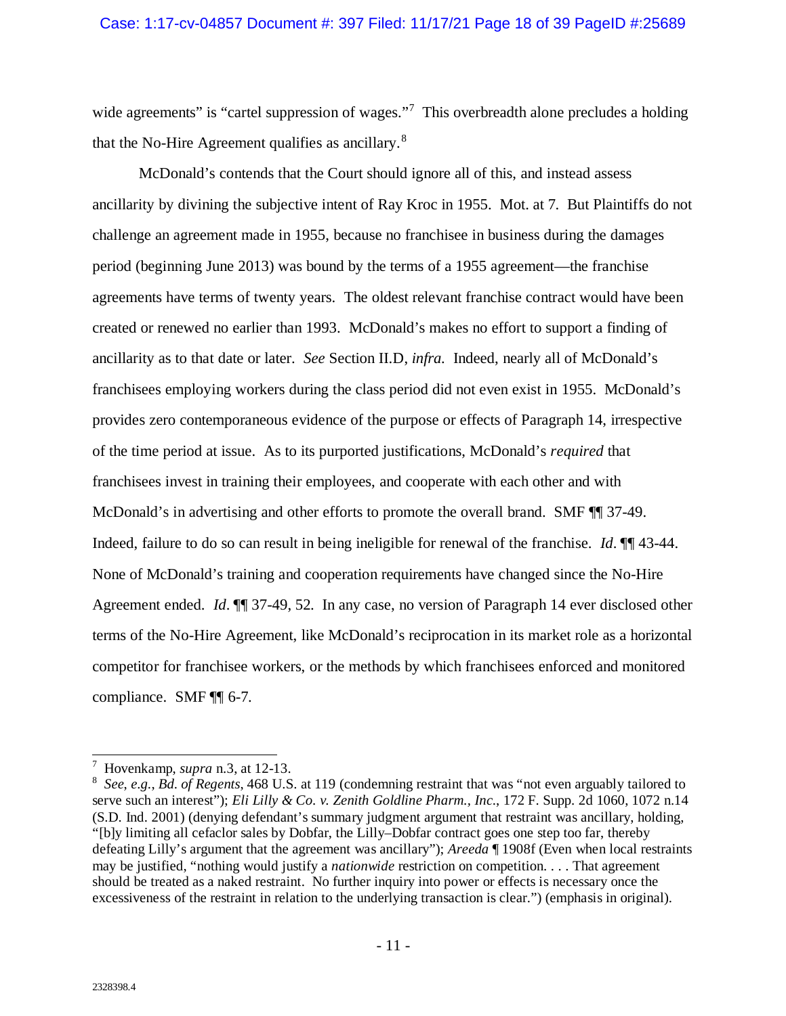wide agreements" is "cartel suppression of wages."<sup>[7](#page-17-0)</sup> This overbreadth alone precludes a holding that the No-Hire Agreement qualifies as ancillary. $8$ 

McDonald's contends that the Court should ignore all of this, and instead assess ancillarity by divining the subjective intent of Ray Kroc in 1955. Mot. at 7. But Plaintiffs do not challenge an agreement made in 1955, because no franchisee in business during the damages period (beginning June 2013) was bound by the terms of a 1955 agreement—the franchise agreements have terms of twenty years. The oldest relevant franchise contract would have been created or renewed no earlier than 1993. McDonald's makes no effort to support a finding of ancillarity as to that date or later. *See* Section II.D, *infra.* Indeed, nearly all of McDonald's franchisees employing workers during the class period did not even exist in 1955. McDonald's provides zero contemporaneous evidence of the purpose or effects of Paragraph 14, irrespective of the time period at issue. As to its purported justifications, McDonald's *required* that franchisees invest in training their employees, and cooperate with each other and with McDonald's in advertising and other efforts to promote the overall brand. SMF  $\P$  37-49. Indeed, failure to do so can result in being ineligible for renewal of the franchise. *Id*. ¶¶ 43-44. None of McDonald's training and cooperation requirements have changed since the No-Hire Agreement ended. *Id*. ¶¶ 37-49, 52. In any case, no version of Paragraph 14 ever disclosed other terms of the No-Hire Agreement, like McDonald's reciprocation in its market role as a horizontal competitor for franchisee workers, or the methods by which franchisees enforced and monitored compliance. SMF ¶¶ 6-7.

 <sup>7</sup> Hovenkamp, *supra* n[.3,](#page-12-1) at 12-13.

<span id="page-17-1"></span><span id="page-17-0"></span><sup>8</sup> *See*, *e.g.*, *Bd. of Regents*, 468 U.S. at 119 (condemning restraint that was "not even arguably tailored to serve such an interest"); *Eli Lilly & Co. v. Zenith Goldline Pharm., Inc.*, 172 F. Supp. 2d 1060, 1072 n.14 (S.D. Ind. 2001) (denying defendant's summary judgment argument that restraint was ancillary, holding, "[b]y limiting all cefaclor sales by Dobfar, the Lilly–Dobfar contract goes one step too far, thereby defeating Lilly's argument that the agreement was ancillary"); *Areeda* ¶ 1908f (Even when local restraints may be justified, "nothing would justify a *nationwide* restriction on competition. . . . That agreement should be treated as a naked restraint. No further inquiry into power or effects is necessary once the excessiveness of the restraint in relation to the underlying transaction is clear.") (emphasis in original).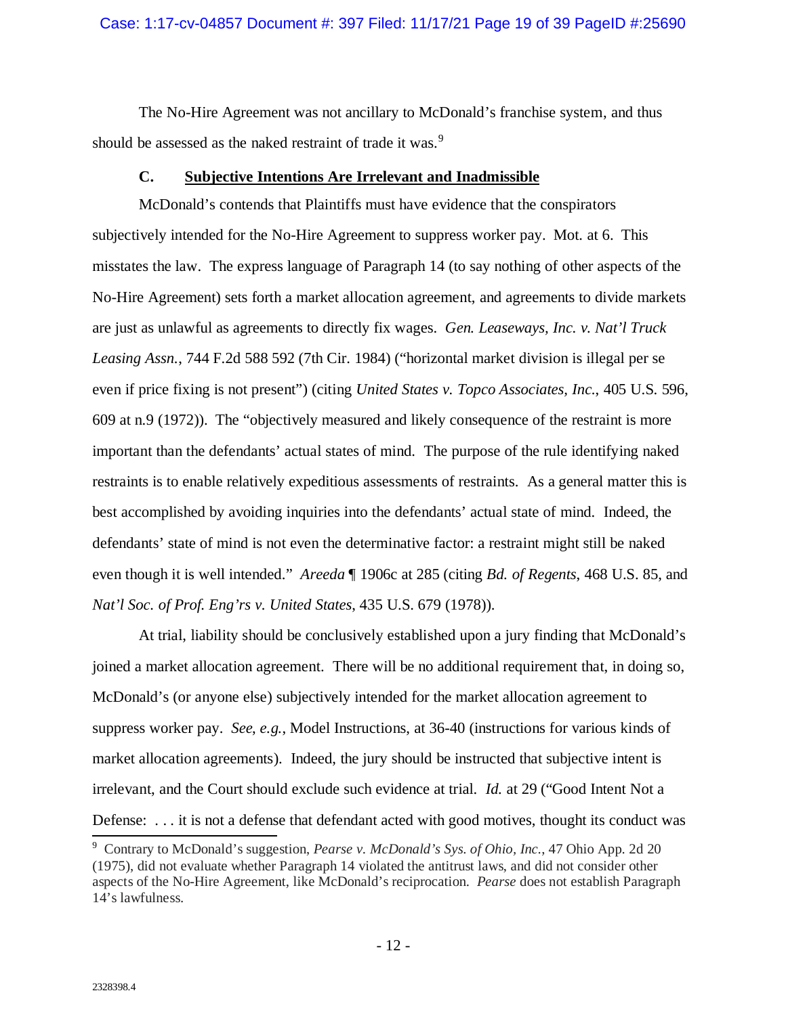#### Case: 1:17-cv-04857 Document #: 397 Filed: 11/17/21 Page 19 of 39 PageID #:25690

The No-Hire Agreement was not ancillary to McDonald's franchise system, and thus should be assessed as the naked restraint of trade it was.<sup>[9](#page-18-1)</sup>

## **C. Subjective Intentions Are Irrelevant and Inadmissible**

<span id="page-18-0"></span>McDonald's contends that Plaintiffs must have evidence that the conspirators subjectively intended for the No-Hire Agreement to suppress worker pay. Mot. at 6. This misstates the law. The express language of Paragraph 14 (to say nothing of other aspects of the No-Hire Agreement) sets forth a market allocation agreement, and agreements to divide markets are just as unlawful as agreements to directly fix wages. *Gen. Leaseways, Inc. v. Nat'l Truck Leasing Assn.*, 744 F.2d 588 592 (7th Cir. 1984) ("horizontal market division is illegal per se even if price fixing is not present") (citing *United States v. Topco Associates, Inc.*, 405 U.S. 596, 609 at n.9 (1972)). The "objectively measured and likely consequence of the restraint is more important than the defendants' actual states of mind. The purpose of the rule identifying naked restraints is to enable relatively expeditious assessments of restraints. As a general matter this is best accomplished by avoiding inquiries into the defendants' actual state of mind. Indeed, the defendants' state of mind is not even the determinative factor: a restraint might still be naked even though it is well intended." *Areeda* ¶ 1906c at 285 (citing *Bd. of Regents*, 468 U.S. 85, and *Nat'l Soc. of Prof. Eng'rs v. United States*, 435 U.S. 679 (1978)).

At trial, liability should be conclusively established upon a jury finding that McDonald's joined a market allocation agreement. There will be no additional requirement that, in doing so, McDonald's (or anyone else) subjectively intended for the market allocation agreement to suppress worker pay. *See*, *e.g.*, Model Instructions, at 36-40 (instructions for various kinds of market allocation agreements). Indeed, the jury should be instructed that subjective intent is irrelevant, and the Court should exclude such evidence at trial. *Id.* at 29 ("Good Intent Not a Defense: ... it is not a defense that defendant acted with good motives, thought its conduct was

<span id="page-18-1"></span>Contrary to McDonald's suggestion, *Pearse v. McDonald's Sys. of Ohio, Inc.*, 47 Ohio App. 2d 20 (1975), did not evaluate whether Paragraph 14 violated the antitrust laws, and did not consider other aspects of the No-Hire Agreement, like McDonald's reciprocation. *Pearse* does not establish Paragraph 14's lawfulness.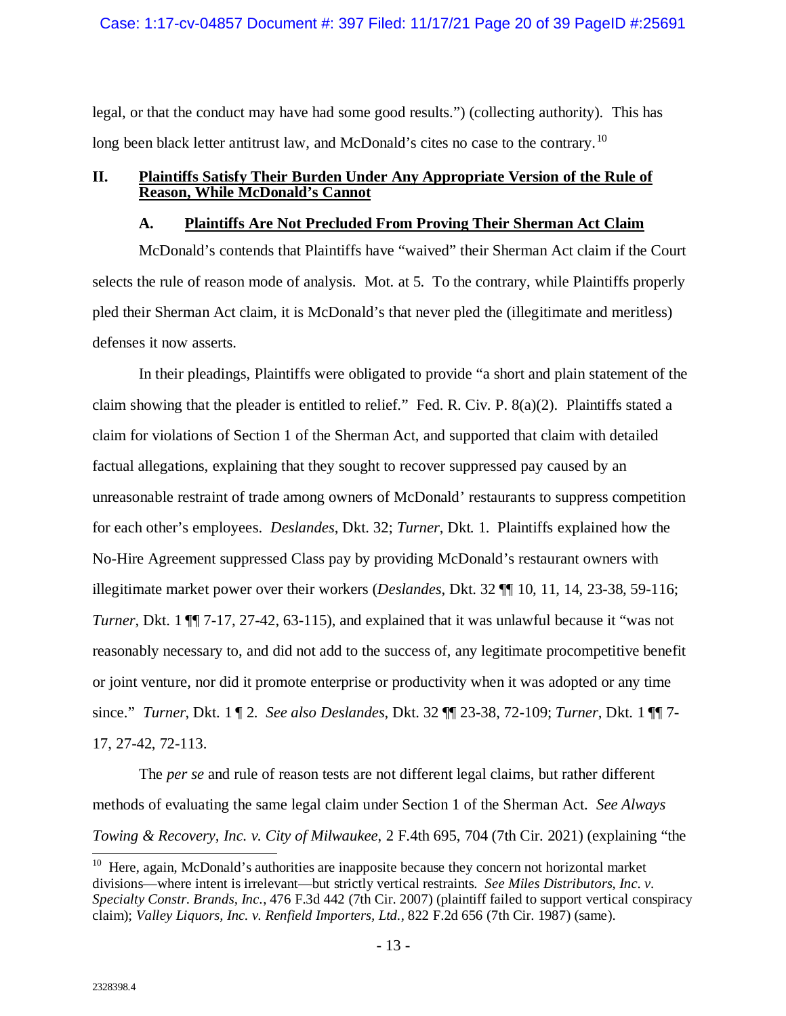#### Case: 1:17-cv-04857 Document #: 397 Filed: 11/17/21 Page 20 of 39 PageID #:25691

legal, or that the conduct may have had some good results.") (collecting authority). This has long been black letter antitrust law, and McDonald's cites no case to the contrary.<sup>[10](#page-19-2)</sup>

## <span id="page-19-1"></span><span id="page-19-0"></span>**II. Plaintiffs Satisfy Their Burden Under Any Appropriate Version of the Rule of Reason, While McDonald's Cannot**

#### **A. Plaintiffs Are Not Precluded From Proving Their Sherman Act Claim**

McDonald's contends that Plaintiffs have "waived" their Sherman Act claim if the Court selects the rule of reason mode of analysis. Mot. at 5. To the contrary, while Plaintiffs properly pled their Sherman Act claim, it is McDonald's that never pled the (illegitimate and meritless) defenses it now asserts.

In their pleadings, Plaintiffs were obligated to provide "a short and plain statement of the claim showing that the pleader is entitled to relief." Fed. R. Civ. P. 8(a)(2). Plaintiffs stated a claim for violations of Section 1 of the Sherman Act, and supported that claim with detailed factual allegations, explaining that they sought to recover suppressed pay caused by an unreasonable restraint of trade among owners of McDonald' restaurants to suppress competition for each other's employees. *Deslandes*, Dkt. 32; *Turner*, Dkt. 1. Plaintiffs explained how the No-Hire Agreement suppressed Class pay by providing McDonald's restaurant owners with illegitimate market power over their workers (*Deslandes*, Dkt. 32 ¶¶ 10, 11, 14, 23-38, 59-116; *Turner*, Dkt. 1  $\P$ [ 7-17, 27-42, 63-115), and explained that it was unlawful because it "was not reasonably necessary to, and did not add to the success of, any legitimate procompetitive benefit or joint venture, nor did it promote enterprise or productivity when it was adopted or any time since." *Turner*, Dkt. 1 ¶ 2. *See also Deslandes*, Dkt. 32 ¶¶ 23-38, 72-109; *Turner*, Dkt. 1 ¶¶ 7- 17, 27-42, 72-113.

The *per se* and rule of reason tests are not different legal claims, but rather different methods of evaluating the same legal claim under Section 1 of the Sherman Act. *See Always Towing & Recovery, Inc. v. City of Milwaukee*, 2 F.4th 695, 704 (7th Cir. 2021) (explaining "the

<span id="page-19-2"></span> $10$  Here, again, McDonald's authorities are inapposite because they concern not horizontal market divisions—where intent is irrelevant—but strictly vertical restraints. *See Miles Distributors, Inc. v. Specialty Constr. Brands, Inc.*, 476 F.3d 442 (7th Cir. 2007) (plaintiff failed to support vertical conspiracy claim); *Valley Liquors, Inc. v. Renfield Importers, Ltd.*, 822 F.2d 656 (7th Cir. 1987) (same).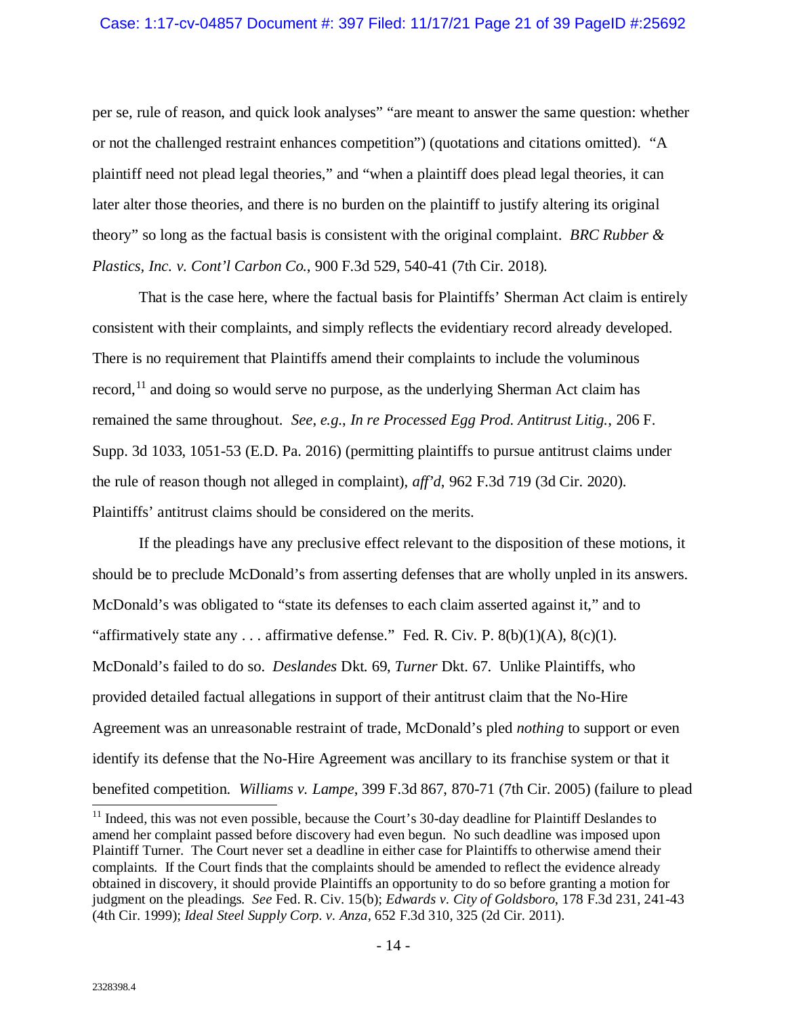per se, rule of reason, and quick look analyses" "are meant to answer the same question: whether or not the challenged restraint enhances competition") (quotations and citations omitted). "A plaintiff need not plead legal theories," and "when a plaintiff does plead legal theories, it can later alter those theories, and there is no burden on the plaintiff to justify altering its original theory" so long as the factual basis is consistent with the original complaint. *BRC Rubber & Plastics, Inc. v. Cont'l Carbon Co.*, 900 F.3d 529, 540-41 (7th Cir. 2018).

That is the case here, where the factual basis for Plaintiffs' Sherman Act claim is entirely consistent with their complaints, and simply reflects the evidentiary record already developed. There is no requirement that Plaintiffs amend their complaints to include the voluminous record,<sup>[11](#page-20-0)</sup> and doing so would serve no purpose, as the underlying Sherman Act claim has remained the same throughout. *See*, *e.g.*, *In re Processed Egg Prod. Antitrust Litig.*, 206 F. Supp. 3d 1033, 1051-53 (E.D. Pa. 2016) (permitting plaintiffs to pursue antitrust claims under the rule of reason though not alleged in complaint), *aff'd*, 962 F.3d 719 (3d Cir. 2020). Plaintiffs' antitrust claims should be considered on the merits.

If the pleadings have any preclusive effect relevant to the disposition of these motions, it should be to preclude McDonald's from asserting defenses that are wholly unpled in its answers. McDonald's was obligated to "state its defenses to each claim asserted against it," and to "affirmatively state any ... affirmative defense." Fed. R. Civ. P.  $8(b)(1)(A)$ ,  $8(c)(1)$ . McDonald's failed to do so. *Deslandes* Dkt. 69, *Turner* Dkt. 67. Unlike Plaintiffs, who provided detailed factual allegations in support of their antitrust claim that the No-Hire Agreement was an unreasonable restraint of trade, McDonald's pled *nothing* to support or even identify its defense that the No-Hire Agreement was ancillary to its franchise system or that it benefited competition. *Williams v. Lampe*, 399 F.3d 867, 870-71 (7th Cir. 2005) (failure to plead <sup>11</sup> Indeed, this was not even possible, because the Court's 30-day deadline for Plaintiff Deslandes to

<span id="page-20-0"></span>amend her complaint passed before discovery had even begun. No such deadline was imposed upon Plaintiff Turner. The Court never set a deadline in either case for Plaintiffs to otherwise amend their complaints. If the Court finds that the complaints should be amended to reflect the evidence already obtained in discovery, it should provide Plaintiffs an opportunity to do so before granting a motion for judgment on the pleadings. *See* Fed. R. Civ. 15(b); *Edwards v. City of Goldsboro*, 178 F.3d 231, 241-43 (4th Cir. 1999); *Ideal Steel Supply Corp. v. Anza*, 652 F.3d 310, 325 (2d Cir. 2011).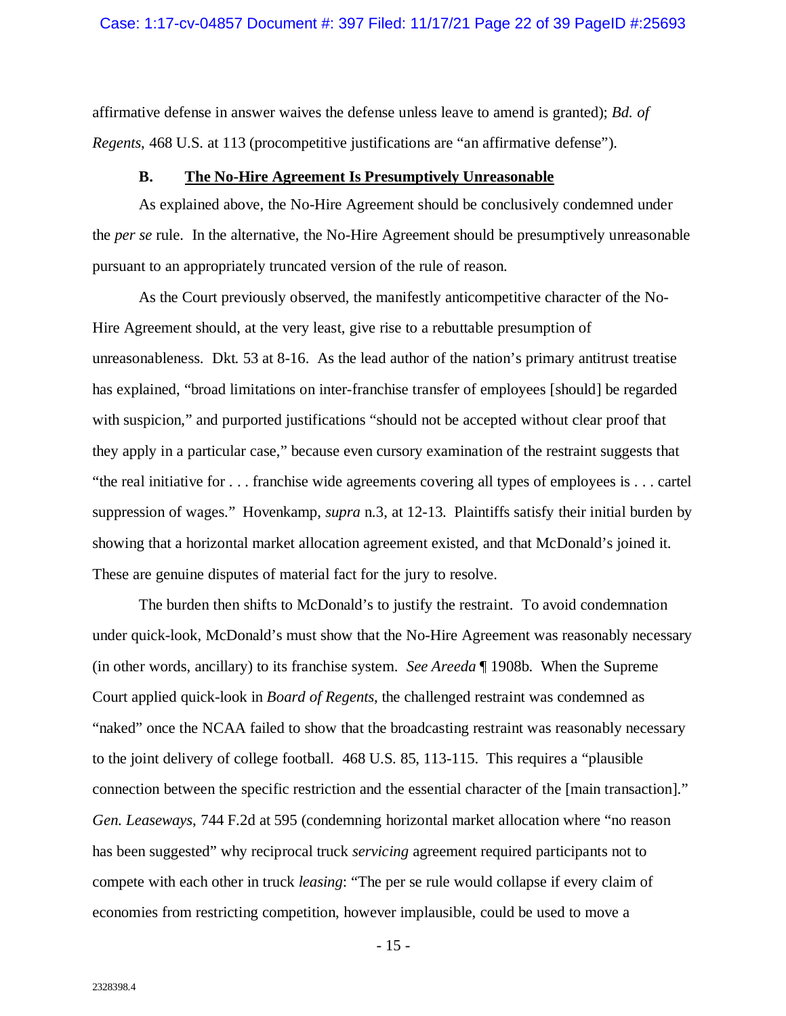affirmative defense in answer waives the defense unless leave to amend is granted); *Bd. of Regents*, 468 U.S. at 113 (procompetitive justifications are "an affirmative defense").

### **B. The No-Hire Agreement Is Presumptively Unreasonable**

<span id="page-21-0"></span>As explained above, the No-Hire Agreement should be conclusively condemned under the *per se* rule. In the alternative, the No-Hire Agreement should be presumptively unreasonable pursuant to an appropriately truncated version of the rule of reason.

As the Court previously observed, the manifestly anticompetitive character of the No-Hire Agreement should, at the very least, give rise to a rebuttable presumption of unreasonableness. Dkt. 53 at 8-16. As the lead author of the nation's primary antitrust treatise has explained, "broad limitations on inter-franchise transfer of employees [should] be regarded with suspicion," and purported justifications "should not be accepted without clear proof that they apply in a particular case," because even cursory examination of the restraint suggests that "the real initiative for . . . franchise wide agreements covering all types of employees is . . . cartel suppression of wages." Hovenkamp, *supra* n[.3,](#page-12-1) at 12-13. Plaintiffs satisfy their initial burden by showing that a horizontal market allocation agreement existed, and that McDonald's joined it. These are genuine disputes of material fact for the jury to resolve.

The burden then shifts to McDonald's to justify the restraint. To avoid condemnation under quick-look, McDonald's must show that the No-Hire Agreement was reasonably necessary (in other words, ancillary) to its franchise system. *See Areeda* ¶ 1908b. When the Supreme Court applied quick-look in *Board of Regents*, the challenged restraint was condemned as "naked" once the NCAA failed to show that the broadcasting restraint was reasonably necessary to the joint delivery of college football. 468 U.S. 85, 113-115. This requires a "plausible connection between the specific restriction and the essential character of the [main transaction]." *Gen. Leaseways*, 744 F.2d at 595 (condemning horizontal market allocation where "no reason has been suggested" why reciprocal truck *servicing* agreement required participants not to compete with each other in truck *leasing*: "The per se rule would collapse if every claim of economies from restricting competition, however implausible, could be used to move a

- 15 -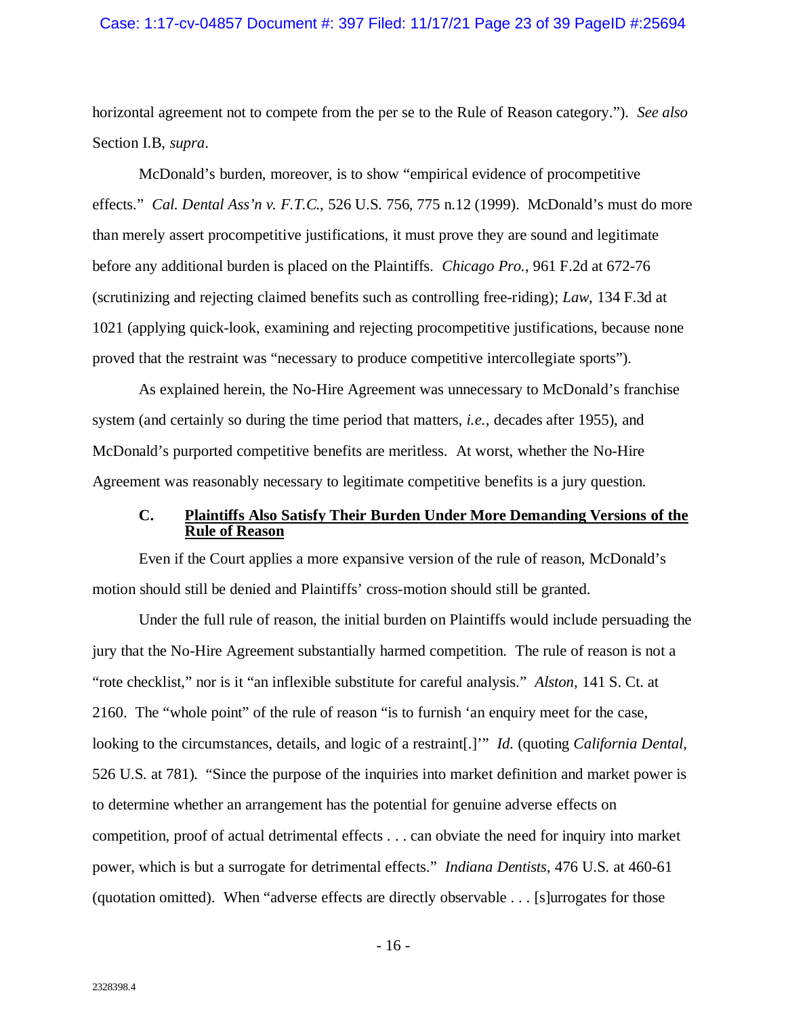#### Case: 1:17-cv-04857 Document #: 397 Filed: 11/17/21 Page 23 of 39 PageID #:25694

horizontal agreement not to compete from the per se to the Rule of Reason category."). *See also*  Section I.B, *supra*.

McDonald's burden, moreover, is to show "empirical evidence of procompetitive effects." *Cal. Dental Ass'n v. F.T.C.*, 526 U.S. 756, 775 n.12 (1999). McDonald's must do more than merely assert procompetitive justifications, it must prove they are sound and legitimate before any additional burden is placed on the Plaintiffs. *Chicago Pro.*, 961 F.2d at 672-76 (scrutinizing and rejecting claimed benefits such as controlling free-riding); *Law*, 134 F.3d at 1021 (applying quick-look, examining and rejecting procompetitive justifications, because none proved that the restraint was "necessary to produce competitive intercollegiate sports").

As explained herein, the No-Hire Agreement was unnecessary to McDonald's franchise system (and certainly so during the time period that matters, *i.e.*, decades after 1955), and McDonald's purported competitive benefits are meritless. At worst, whether the No-Hire Agreement was reasonably necessary to legitimate competitive benefits is a jury question.

### <span id="page-22-0"></span>**C. Plaintiffs Also Satisfy Their Burden Under More Demanding Versions of the Rule of Reason**

Even if the Court applies a more expansive version of the rule of reason, McDonald's motion should still be denied and Plaintiffs' cross-motion should still be granted.

Under the full rule of reason, the initial burden on Plaintiffs would include persuading the jury that the No-Hire Agreement substantially harmed competition. The rule of reason is not a "rote checklist," nor is it "an inflexible substitute for careful analysis." *Alston*, 141 S. Ct. at 2160. The "whole point" of the rule of reason "is to furnish 'an enquiry meet for the case, looking to the circumstances, details, and logic of a restraint[.]'" *Id.* (quoting *California Dental*, 526 U.S. at 781). "Since the purpose of the inquiries into market definition and market power is to determine whether an arrangement has the potential for genuine adverse effects on competition, proof of actual detrimental effects . . . can obviate the need for inquiry into market power, which is but a surrogate for detrimental effects." *Indiana Dentists*, 476 U.S. at 460-61 (quotation omitted). When "adverse effects are directly observable . . . [s]urrogates for those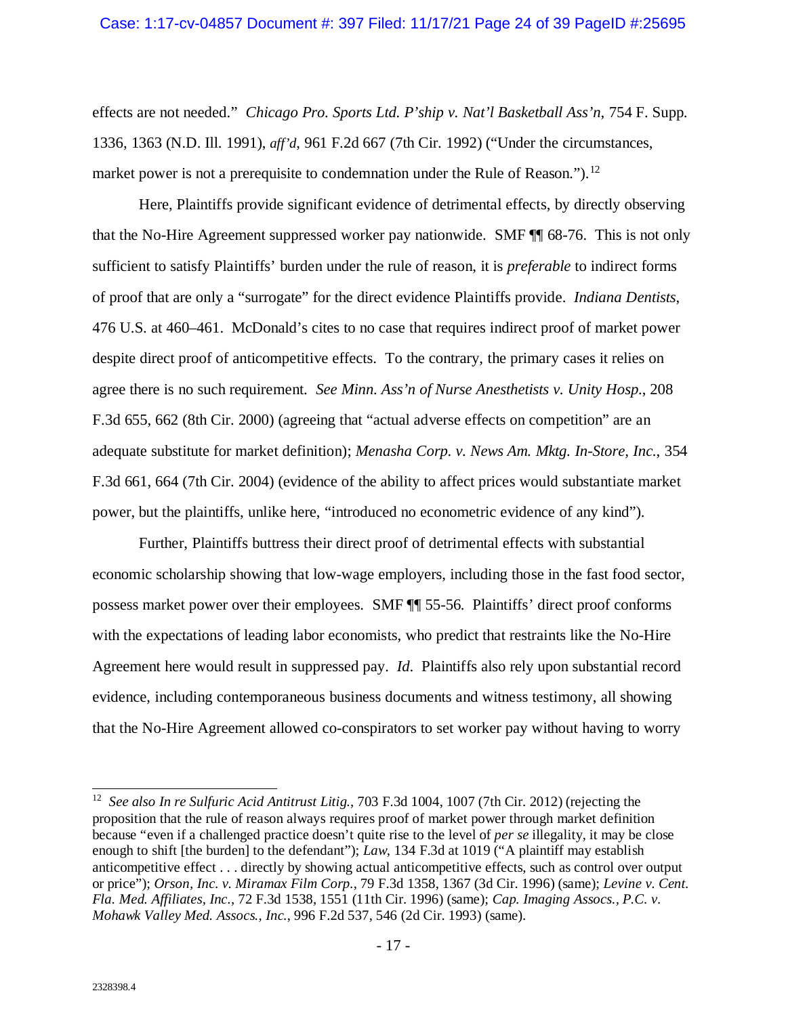effects are not needed." *Chicago Pro. Sports Ltd. P'ship v. Nat'l Basketball Ass'n*, 754 F. Supp. 1336, 1363 (N.D. Ill. 1991), *aff'd*, 961 F.2d 667 (7th Cir. 1992) ("Under the circumstances, market power is not a prerequisite to condemnation under the Rule of Reason.").<sup>[12](#page-23-0)</sup>

Here, Plaintiffs provide significant evidence of detrimental effects, by directly observing that the No-Hire Agreement suppressed worker pay nationwide. SMF ¶¶ 68-76. This is not only sufficient to satisfy Plaintiffs' burden under the rule of reason, it is *preferable* to indirect forms of proof that are only a "surrogate" for the direct evidence Plaintiffs provide. *Indiana Dentists*, 476 U.S. at 460–461. McDonald's cites to no case that requires indirect proof of market power despite direct proof of anticompetitive effects. To the contrary, the primary cases it relies on agree there is no such requirement. *See Minn. Ass'n of Nurse Anesthetists v. Unity Hosp.*, 208 F.3d 655, 662 (8th Cir. 2000) (agreeing that "actual adverse effects on competition" are an adequate substitute for market definition); *Menasha Corp. v. News Am. Mktg. In-Store, Inc.*, 354 F.3d 661, 664 (7th Cir. 2004) (evidence of the ability to affect prices would substantiate market power, but the plaintiffs, unlike here, "introduced no econometric evidence of any kind").

Further, Plaintiffs buttress their direct proof of detrimental effects with substantial economic scholarship showing that low-wage employers, including those in the fast food sector, possess market power over their employees. SMF ¶¶ 55-56. Plaintiffs' direct proof conforms with the expectations of leading labor economists, who predict that restraints like the No-Hire Agreement here would result in suppressed pay. *Id*. Plaintiffs also rely upon substantial record evidence, including contemporaneous business documents and witness testimony, all showing that the No-Hire Agreement allowed co-conspirators to set worker pay without having to worry

<span id="page-23-0"></span><sup>12</sup> *See also In re Sulfuric Acid Antitrust Litig.*, 703 F.3d 1004, 1007 (7th Cir. 2012) (rejecting the proposition that the rule of reason always requires proof of market power through market definition because "even if a challenged practice doesn't quite rise to the level of *per se* illegality, it may be close enough to shift [the burden] to the defendant"); *Law*, 134 F.3d at 1019 ("A plaintiff may establish anticompetitive effect . . . directly by showing actual anticompetitive effects, such as control over output or price"); *Orson, Inc. v. Miramax Film Corp.*, 79 F.3d 1358, 1367 (3d Cir. 1996) (same); *Levine v. Cent. Fla. Med. Affiliates, Inc.*, 72 F.3d 1538, 1551 (11th Cir. 1996) (same); *Cap. Imaging Assocs., P.C. v. Mohawk Valley Med. Assocs., Inc.*, 996 F.2d 537, 546 (2d Cir. 1993) (same).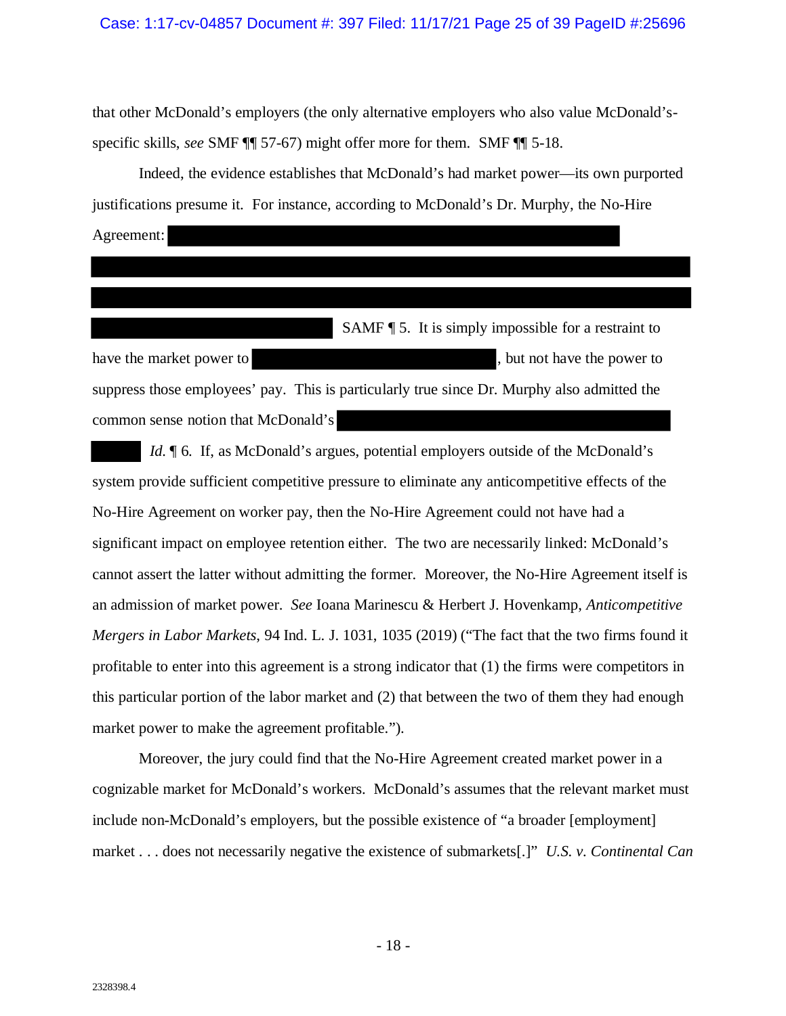#### Case: 1:17-cv-04857 Document #: 397 Filed: 11/17/21 Page 25 of 39 PageID #:25696

that other McDonald's employers (the only alternative employers who also value McDonald'sspecific skills, *see* SMF ¶¶ 57-67) might offer more for them. SMF ¶¶ 5-18.

Indeed, the evidence establishes that McDonald's had market power—its own purported justifications presume it. For instance, according to McDonald's Dr. Murphy, the No-Hire Agreement:

 SAMF ¶ 5. It is simply impossible for a restraint to have the market power to , but not have the power to suppress those employees' pay. This is particularly true since Dr. Murphy also admitted the common sense notion that McDonald's

*Id.*  $\parallel$  6. If, as McDonald's argues, potential employers outside of the McDonald's system provide sufficient competitive pressure to eliminate any anticompetitive effects of the No-Hire Agreement on worker pay, then the No-Hire Agreement could not have had a significant impact on employee retention either. The two are necessarily linked: McDonald's cannot assert the latter without admitting the former. Moreover, the No-Hire Agreement itself is an admission of market power. *See* Ioana Marinescu & Herbert J. Hovenkamp, *Anticompetitive Mergers in Labor Markets*, 94 Ind. L. J. 1031, 1035 (2019) ("The fact that the two firms found it profitable to enter into this agreement is a strong indicator that (1) the firms were competitors in this particular portion of the labor market and (2) that between the two of them they had enough market power to make the agreement profitable.").

Moreover, the jury could find that the No-Hire Agreement created market power in a cognizable market for McDonald's workers. McDonald's assumes that the relevant market must include non-McDonald's employers, but the possible existence of "a broader [employment] market . . . does not necessarily negative the existence of submarkets[.]" *U.S. v. Continental Can*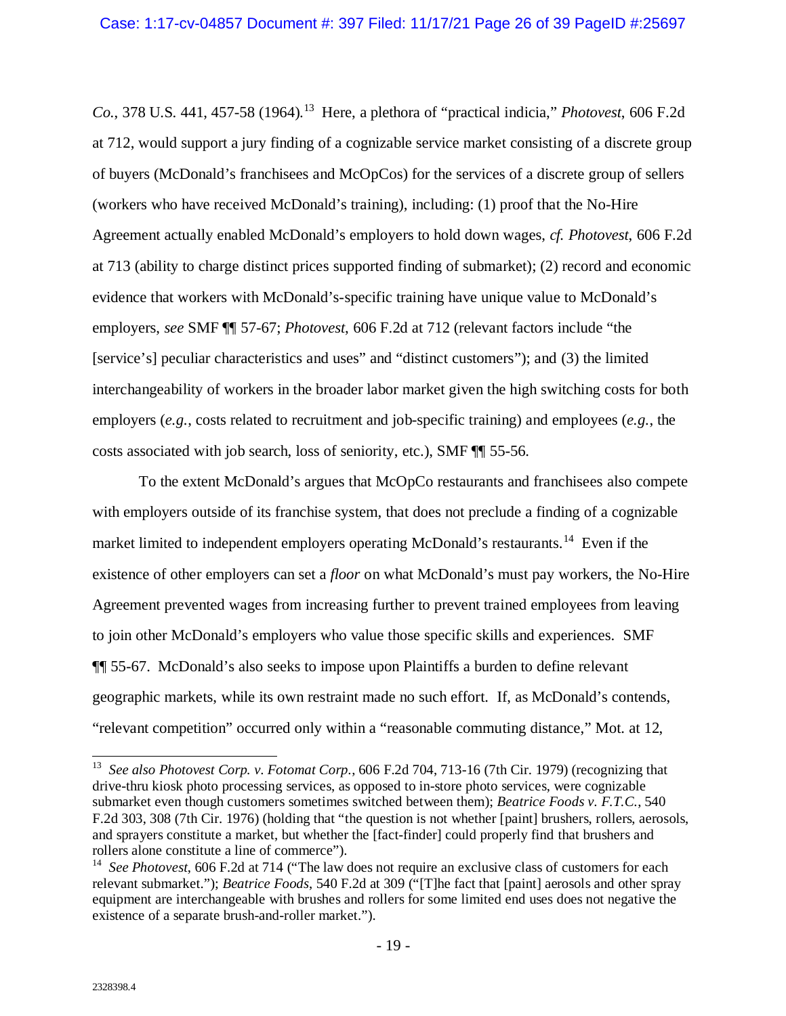*Co.*, 378 U.S. 441, 457-58 (1964). [13](#page-25-0) Here, a plethora of "practical indicia," *Photovest*, 606 F.2d at 712, would support a jury finding of a cognizable service market consisting of a discrete group of buyers (McDonald's franchisees and McOpCos) for the services of a discrete group of sellers (workers who have received McDonald's training), including: (1) proof that the No-Hire Agreement actually enabled McDonald's employers to hold down wages, *cf. Photovest*, 606 F.2d at 713 (ability to charge distinct prices supported finding of submarket); (2) record and economic evidence that workers with McDonald's-specific training have unique value to McDonald's employers, *see* SMF ¶¶ 57-67; *Photovest*, 606 F.2d at 712 (relevant factors include "the [service's] peculiar characteristics and uses" and "distinct customers"); and (3) the limited interchangeability of workers in the broader labor market given the high switching costs for both employers (*e.g.*, costs related to recruitment and job-specific training) and employees (*e.g.*, the costs associated with job search, loss of seniority, etc.), SMF ¶¶ 55-56.

To the extent McDonald's argues that McOpCo restaurants and franchisees also compete with employers outside of its franchise system, that does not preclude a finding of a cognizable market limited to independent employers operating McDonald's restaurants.<sup>14</sup> Even if the existence of other employers can set a *floor* on what McDonald's must pay workers, the No-Hire Agreement prevented wages from increasing further to prevent trained employees from leaving to join other McDonald's employers who value those specific skills and experiences. SMF ¶¶ 55-67. McDonald's also seeks to impose upon Plaintiffs a burden to define relevant geographic markets, while its own restraint made no such effort. If, as McDonald's contends, "relevant competition" occurred only within a "reasonable commuting distance," Mot. at 12,

<span id="page-25-0"></span> <sup>13</sup> *See also Photovest Corp. v. Fotomat Corp.*, 606 F.2d 704, 713-16 (7th Cir. 1979) (recognizing that drive-thru kiosk photo processing services, as opposed to in-store photo services, were cognizable submarket even though customers sometimes switched between them); *Beatrice Foods v. F.T.C.*, 540 F.2d 303, 308 (7th Cir. 1976) (holding that "the question is not whether [paint] brushers, rollers, aerosols, and sprayers constitute a market, but whether the [fact-finder] could properly find that brushers and rollers alone constitute a line of commerce").

<span id="page-25-1"></span><sup>&</sup>lt;sup>14</sup> *See Photovest*, 606 F.2d at 714 ("The law does not require an exclusive class of customers for each relevant submarket."); *Beatrice Foods*, 540 F.2d at 309 ("[T]he fact that [paint] aerosols and other spray equipment are interchangeable with brushes and rollers for some limited end uses does not negative the existence of a separate brush-and-roller market.").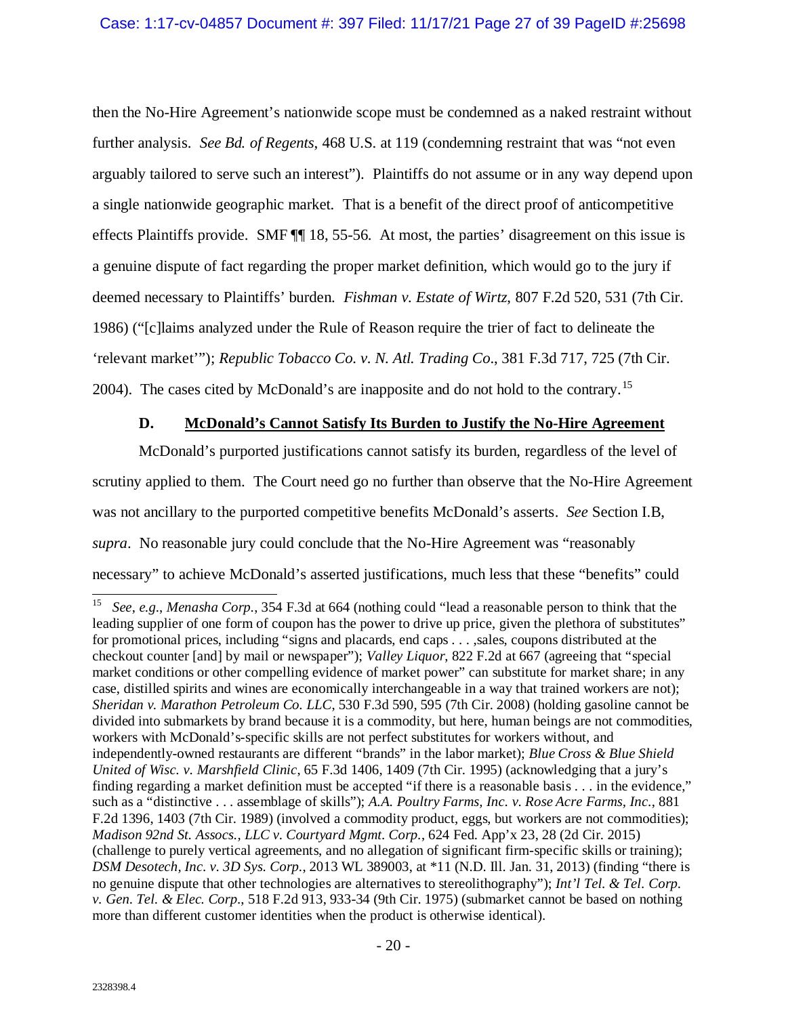then the No-Hire Agreement's nationwide scope must be condemned as a naked restraint without further analysis. *See Bd. of Regents*, 468 U.S. at 119 (condemning restraint that was "not even arguably tailored to serve such an interest"). Plaintiffs do not assume or in any way depend upon a single nationwide geographic market. That is a benefit of the direct proof of anticompetitive effects Plaintiffs provide. SMF ¶¶ 18, 55-56. At most, the parties' disagreement on this issue is a genuine dispute of fact regarding the proper market definition, which would go to the jury if deemed necessary to Plaintiffs' burden. *Fishman v. Estate of Wirtz*, 807 F.2d 520, 531 (7th Cir. 1986) ("[c]laims analyzed under the Rule of Reason require the trier of fact to delineate the 'relevant market'"); *Republic Tobacco Co. v. N. Atl. Trading Co*., 381 F.3d 717, 725 (7th Cir. 2004). The cases cited by McDonald's are inapposite and do not hold to the contrary.[15](#page-26-1)

## **D. McDonald's Cannot Satisfy Its Burden to Justify the No-Hire Agreement**

<span id="page-26-0"></span>McDonald's purported justifications cannot satisfy its burden, regardless of the level of scrutiny applied to them. The Court need go no further than observe that the No-Hire Agreement was not ancillary to the purported competitive benefits McDonald's asserts. *See* Section I.B, *supra*. No reasonable jury could conclude that the No-Hire Agreement was "reasonably necessary" to achieve McDonald's asserted justifications, much less that these "benefits" could

<span id="page-26-1"></span> <sup>15</sup> *See*, *e.g.*, *Menasha Corp.*, 354 F.3d at 664 (nothing could "lead a reasonable person to think that the leading supplier of one form of coupon has the power to drive up price, given the plethora of substitutes" for promotional prices, including "signs and placards, end caps . . . ,sales, coupons distributed at the checkout counter [and] by mail or newspaper"); *Valley Liquor*, 822 F.2d at 667 (agreeing that "special market conditions or other compelling evidence of market power" can substitute for market share; in any case, distilled spirits and wines are economically interchangeable in a way that trained workers are not); *Sheridan v. Marathon Petroleum Co. LLC*, 530 F.3d 590, 595 (7th Cir. 2008) (holding gasoline cannot be divided into submarkets by brand because it is a commodity, but here, human beings are not commodities, workers with McDonald's-specific skills are not perfect substitutes for workers without, and independently-owned restaurants are different "brands" in the labor market); *Blue Cross & Blue Shield United of Wisc. v. Marshfield Clinic*, 65 F.3d 1406, 1409 (7th Cir. 1995) (acknowledging that a jury's finding regarding a market definition must be accepted "if there is a reasonable basis . . . in the evidence," such as a "distinctive . . . assemblage of skills"); *A.A. Poultry Farms, Inc. v. Rose Acre Farms, Inc.*, 881 F.2d 1396, 1403 (7th Cir. 1989) (involved a commodity product, eggs, but workers are not commodities); *Madison 92nd St. Assocs., LLC v. Courtyard Mgmt. Corp.*, 624 Fed. App'x 23, 28 (2d Cir. 2015) (challenge to purely vertical agreements, and no allegation of significant firm-specific skills or training); *DSM Desotech, Inc. v. 3D Sys. Corp.*, 2013 WL 389003, at \*11 (N.D. Ill. Jan. 31, 2013) (finding "there is no genuine dispute that other technologies are alternatives to stereolithography"); *Int'l Tel. & Tel. Corp. v. Gen. Tel. & Elec. Corp.*, 518 F.2d 913, 933-34 (9th Cir. 1975) (submarket cannot be based on nothing more than different customer identities when the product is otherwise identical).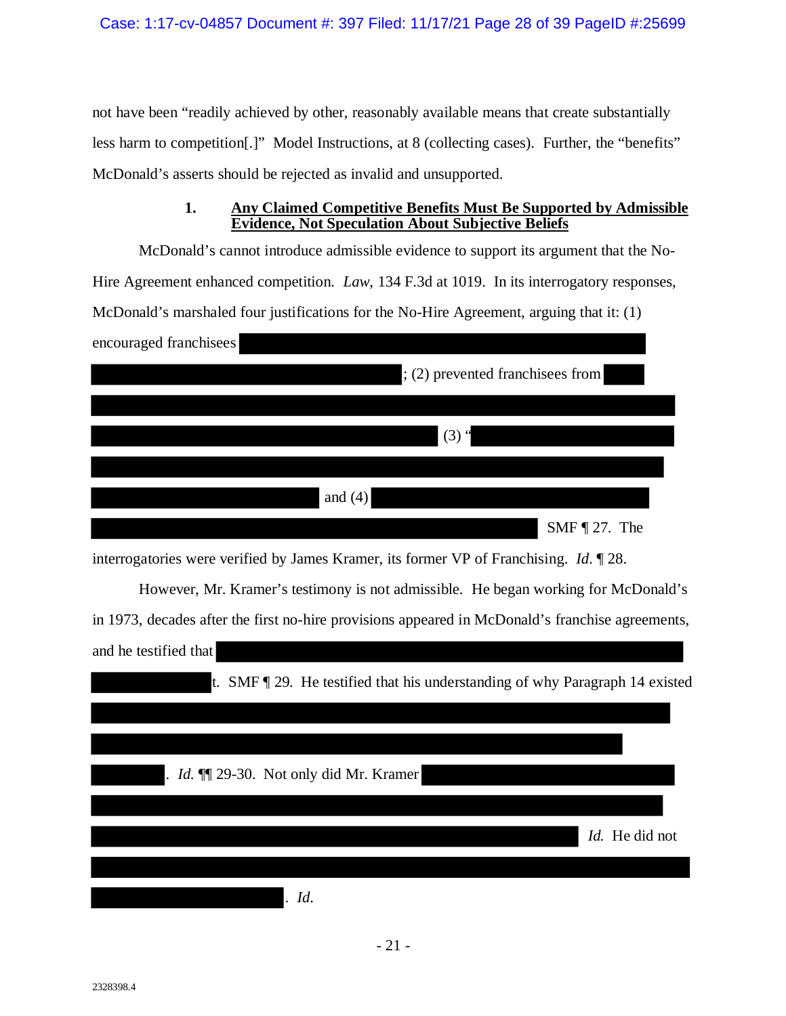not have been "readily achieved by other, reasonably available means that create substantially less harm to competition[.]" Model Instructions, at 8 (collecting cases). Further, the "benefits" McDonald's asserts should be rejected as invalid and unsupported.

## **1. Any Claimed Competitive Benefits Must Be Supported by Admissible Evidence, Not Speculation About Subjective Beliefs**

<span id="page-27-0"></span>McDonald's cannot introduce admissible evidence to support its argument that the No-Hire Agreement enhanced competition. *Law*, 134 F.3d at 1019. In its interrogatory responses, McDonald's marshaled four justifications for the No-Hire Agreement, arguing that it: (1) encouraged franchisees

| ; (2) prevented franchisees from |
|----------------------------------|
|                                  |
| $(3)$ "                          |
|                                  |
| and $(4)$                        |
| SMF $\P$ 27. The                 |

interrogatories were verified by James Kramer, its former VP of Franchising. *Id*. ¶ 28.

However, Mr. Kramer's testimony is not admissible. He began working for McDonald's in 1973, decades after the first no-hire provisions appeared in McDonald's franchise agreements, and he testified that

| t. SMF $\parallel$ 29. He testified that his understanding of why Paragraph 14 existed |                |
|----------------------------------------------------------------------------------------|----------------|
|                                                                                        |                |
| . <i>Id.</i> $\P$ 29-30. Not only did Mr. Kramer                                       |                |
|                                                                                        |                |
|                                                                                        | Id. He did not |
| Id.                                                                                    |                |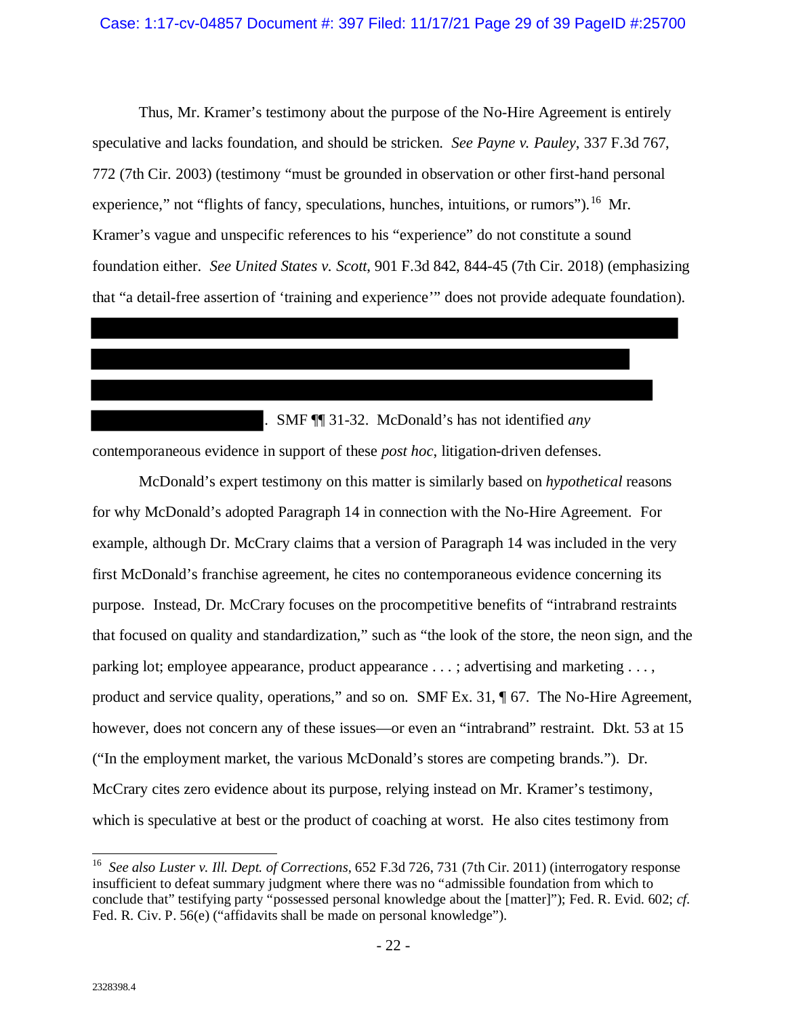Thus, Mr. Kramer's testimony about the purpose of the No-Hire Agreement is entirely speculative and lacks foundation, and should be stricken. *See Payne v. Pauley*, 337 F.3d 767, 772 (7th Cir. 2003) (testimony "must be grounded in observation or other first-hand personal experience," not "flights of fancy, speculations, hunches, intuitions, or rumors").<sup>[16](#page-28-0)</sup> Mr. Kramer's vague and unspecific references to his "experience" do not constitute a sound foundation either. *See United States v. Scott*, 901 F.3d 842, 844-45 (7th Cir. 2018) (emphasizing that "a detail-free assertion of 'training and experience'" does not provide adequate foundation).

. SMF ¶¶ 31-32. McDonald's has not identified *any* contemporaneous evidence in support of these *post hoc*, litigation-driven defenses.

McDonald's expert testimony on this matter is similarly based on *hypothetical* reasons for why McDonald's adopted Paragraph 14 in connection with the No-Hire Agreement. For example, although Dr. McCrary claims that a version of Paragraph 14 was included in the very first McDonald's franchise agreement, he cites no contemporaneous evidence concerning its purpose. Instead, Dr. McCrary focuses on the procompetitive benefits of "intrabrand restraints that focused on quality and standardization," such as "the look of the store, the neon sign, and the parking lot; employee appearance, product appearance . . . ; advertising and marketing . . . , product and service quality, operations," and so on. SMF Ex. 31, ¶ 67. The No-Hire Agreement, however, does not concern any of these issues—or even an "intrabrand" restraint. Dkt. 53 at 15 ("In the employment market, the various McDonald's stores are competing brands."). Dr. McCrary cites zero evidence about its purpose, relying instead on Mr. Kramer's testimony, which is speculative at best or the product of coaching at worst. He also cites testimony from

<span id="page-28-0"></span> $\overline{a}$ 16 *See also Luster v. Ill. Dept. of Corrections*, 652 F.3d 726, 731 (7th Cir. 2011) (interrogatory response insufficient to defeat summary judgment where there was no "admissible foundation from which to conclude that" testifying party "possessed personal knowledge about the [matter]"); Fed. R. Evid. 602; *cf.*  Fed. R. Civ. P. 56(e) ("affidavits shall be made on personal knowledge").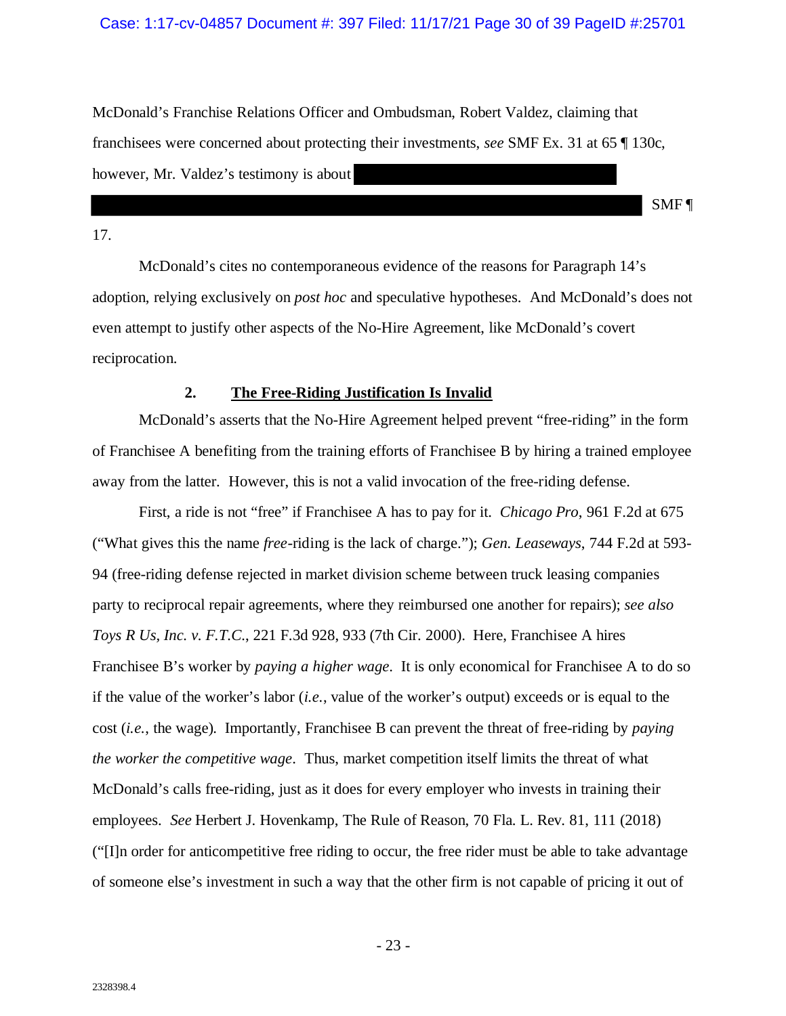#### Case: 1:17-cv-04857 Document #: 397 Filed: 11/17/21 Page 30 of 39 PageID #:25701

McDonald's Franchise Relations Officer and Ombudsman, Robert Valdez, claiming that franchisees were concerned about protecting their investments, *see* SMF Ex. 31 at 65 ¶ 130c, however, Mr. Valdez's testimony is about

SMF ¶

#### 17.

McDonald's cites no contemporaneous evidence of the reasons for Paragraph 14's adoption, relying exclusively on *post hoc* and speculative hypotheses. And McDonald's does not even attempt to justify other aspects of the No-Hire Agreement, like McDonald's covert reciprocation.

### **2. The Free-Riding Justification Is Invalid**

<span id="page-29-0"></span>McDonald's asserts that the No-Hire Agreement helped prevent "free-riding" in the form of Franchisee A benefiting from the training efforts of Franchisee B by hiring a trained employee away from the latter. However, this is not a valid invocation of the free-riding defense.

First, a ride is not "free" if Franchisee A has to pay for it. *Chicago Pro*, 961 F.2d at 675 ("What gives this the name *free*-riding is the lack of charge."); *Gen. Leaseways*, 744 F.2d at 593- 94 (free-riding defense rejected in market division scheme between truck leasing companies party to reciprocal repair agreements, where they reimbursed one another for repairs); *see also Toys R Us, Inc. v. F.T.C.*, 221 F.3d 928, 933 (7th Cir. 2000). Here, Franchisee A hires Franchisee B's worker by *paying a higher wage*. It is only economical for Franchisee A to do so if the value of the worker's labor (*i.e.*, value of the worker's output) exceeds or is equal to the cost (*i.e.*, the wage). Importantly, Franchisee B can prevent the threat of free-riding by *paying the worker the competitive wage*. Thus, market competition itself limits the threat of what McDonald's calls free-riding, just as it does for every employer who invests in training their employees. *See* Herbert J. Hovenkamp, The Rule of Reason, 70 Fla. L. Rev. 81, 111 (2018) ("[I]n order for anticompetitive free riding to occur, the free rider must be able to take advantage of someone else's investment in such a way that the other firm is not capable of pricing it out of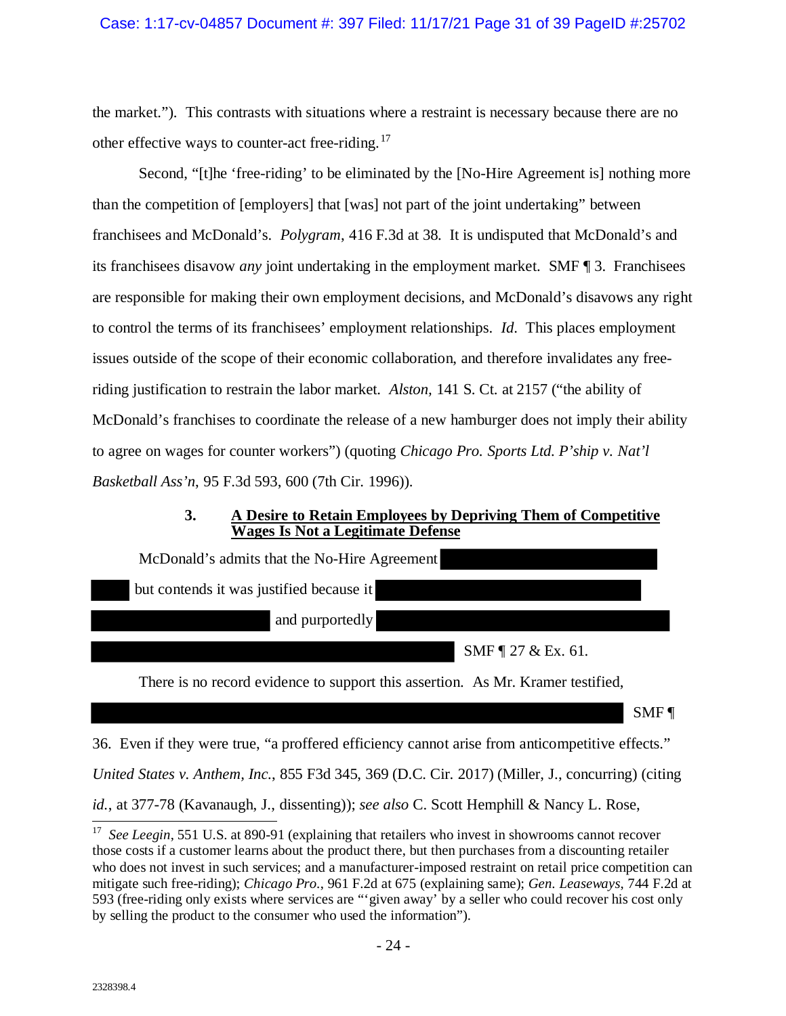the market."). This contrasts with situations where a restraint is necessary because there are no other effective ways to counter-act free-riding.<sup>[17](#page-30-1)</sup>

Second, "[t]he 'free-riding' to be eliminated by the [No-Hire Agreement is] nothing more than the competition of [employers] that [was] not part of the joint undertaking" between franchisees and McDonald's. *Polygram*, 416 F.3d at 38. It is undisputed that McDonald's and its franchisees disavow *any* joint undertaking in the employment market. SMF ¶ 3. Franchisees are responsible for making their own employment decisions, and McDonald's disavows any right to control the terms of its franchisees' employment relationships. *Id*. This places employment issues outside of the scope of their economic collaboration, and therefore invalidates any freeriding justification to restrain the labor market. *Alston,* 141 S. Ct. at 2157 ("the ability of McDonald's franchises to coordinate the release of a new hamburger does not imply their ability to agree on wages for counter workers") (quoting *Chicago Pro. Sports Ltd. P'ship v. Nat'l Basketball Ass'n*, 95 F.3d 593, 600 (7th Cir. 1996)).

### **3. A Desire to Retain Employees by Depriving Them of Competitive Wages Is Not a Legitimate Defense**

<span id="page-30-0"></span>

| McDonald's admits that the No-Hire Agreement                                    |
|---------------------------------------------------------------------------------|
| but contends it was justified because it                                        |
| and purportedly                                                                 |
| SMF $\P$ 27 & Ex. 61.                                                           |
| There is no record ovidence to support this essention $A_0 M r$ . Known to this |

There is no record evidence to support this assertion. As Mr. Kramer testified,

SMF ¶

36. Even if they were true, "a proffered efficiency cannot arise from anticompetitive effects."

*United States v. Anthem, Inc.*, 855 F3d 345, 369 (D.C. Cir. 2017) (Miller, J., concurring) (citing

*id.*, at 377-78 (Kavanaugh, J., dissenting)); *see also* C. Scott Hemphill & Nancy L. Rose,

<span id="page-30-1"></span><sup>&</sup>lt;sup>17</sup> *See Leegin*, 551 U.S. at 890-91 (explaining that retailers who invest in showrooms cannot recover those costs if a customer learns about the product there, but then purchases from a discounting retailer who does not invest in such services; and a manufacturer-imposed restraint on retail price competition can mitigate such free-riding); *Chicago Pro.*, 961 F.2d at 675 (explaining same); *Gen. Leaseways*, 744 F.2d at 593 (free-riding only exists where services are "'given away' by a seller who could recover his cost only by selling the product to the consumer who used the information").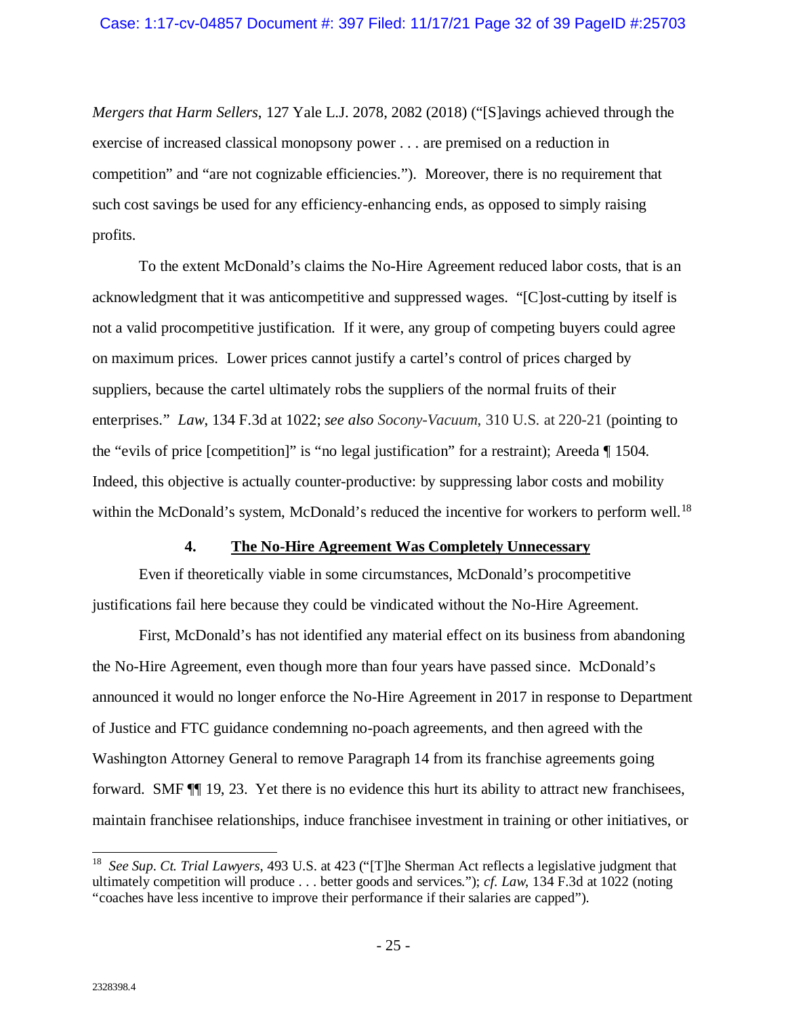*Mergers that Harm Sellers*, 127 Yale L.J. 2078, 2082 (2018) ("[S]avings achieved through the exercise of increased classical monopsony power . . . are premised on a reduction in competition" and "are not cognizable efficiencies."). Moreover, there is no requirement that such cost savings be used for any efficiency-enhancing ends, as opposed to simply raising profits.

To the extent McDonald's claims the No-Hire Agreement reduced labor costs, that is an acknowledgment that it was anticompetitive and suppressed wages. "[C]ost-cutting by itself is not a valid procompetitive justification. If it were, any group of competing buyers could agree on maximum prices. Lower prices cannot justify a cartel's control of prices charged by suppliers, because the cartel ultimately robs the suppliers of the normal fruits of their enterprises." *Law*, 134 F.3d at 1022; *see also Socony-Vacuum*, 310 U.S. at 220-21 (pointing to the "evils of price [competition]" is "no legal justification" for a restraint); Areeda ¶ 1504. Indeed, this objective is actually counter-productive: by suppressing labor costs and mobility within the McDonald's system, McDonald's reduced the incentive for workers to perform well.<sup>18</sup>

#### **4. The No-Hire Agreement Was Completely Unnecessary**

<span id="page-31-0"></span>Even if theoretically viable in some circumstances, McDonald's procompetitive justifications fail here because they could be vindicated without the No-Hire Agreement.

First, McDonald's has not identified any material effect on its business from abandoning the No-Hire Agreement, even though more than four years have passed since. McDonald's announced it would no longer enforce the No-Hire Agreement in 2017 in response to Department of Justice and FTC guidance condemning no-poach agreements, and then agreed with the Washington Attorney General to remove Paragraph 14 from its franchise agreements going forward. SMF ¶¶ 19, 23. Yet there is no evidence this hurt its ability to attract new franchisees, maintain franchisee relationships, induce franchisee investment in training or other initiatives, or

<span id="page-31-1"></span><sup>&</sup>lt;sup>18</sup> *See Sup. Ct. Trial Lawyers*, 493 U.S. at 423 ("The Sherman Act reflects a legislative judgment that ultimately competition will produce . . . better goods and services."); *cf. Law*, 134 F.3d at 1022 (noting "coaches have less incentive to improve their performance if their salaries are capped").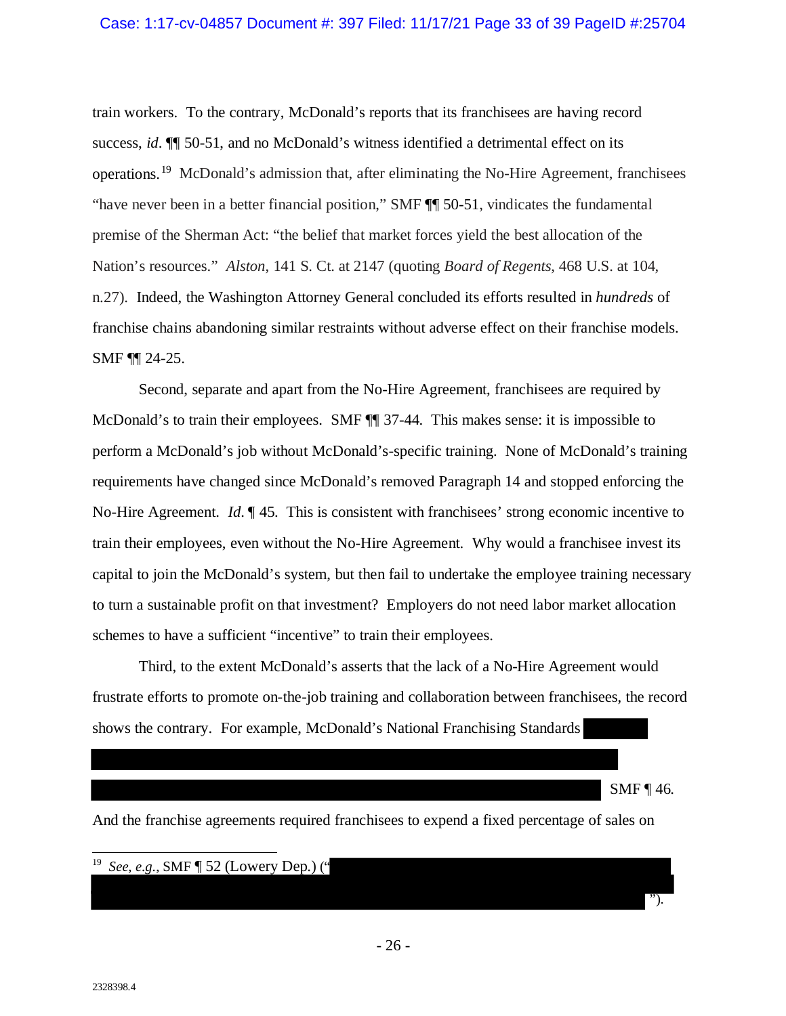train workers. To the contrary, McDonald's reports that its franchisees are having record success, *id*. ¶¶ 50-51, and no McDonald's witness identified a detrimental effect on its operations.[19](#page-32-0) McDonald's admission that, after eliminating the No-Hire Agreement, franchisees "have never been in a better financial position," SMF ¶¶ 50-51, vindicates the fundamental premise of the Sherman Act: "the belief that market forces yield the best allocation of the Nation's resources." *Alston*, 141 S. Ct. at 2147 (quoting *Board of Regents*, 468 U.S. at 104, n.27). Indeed, the Washington Attorney General concluded its efforts resulted in *hundreds* of franchise chains abandoning similar restraints without adverse effect on their franchise models. SMF ¶¶ 24-25.

Second, separate and apart from the No-Hire Agreement, franchisees are required by McDonald's to train their employees. SMF  $\P$  37-44. This makes sense: it is impossible to perform a McDonald's job without McDonald's-specific training. None of McDonald's training requirements have changed since McDonald's removed Paragraph 14 and stopped enforcing the No-Hire Agreement. *Id*. ¶ 45. This is consistent with franchisees' strong economic incentive to train their employees, even without the No-Hire Agreement. Why would a franchisee invest its capital to join the McDonald's system, but then fail to undertake the employee training necessary to turn a sustainable profit on that investment? Employers do not need labor market allocation schemes to have a sufficient "incentive" to train their employees.

Third, to the extent McDonald's asserts that the lack of a No-Hire Agreement would frustrate efforts to promote on-the-job training and collaboration between franchisees, the record shows the contrary. For example, McDonald's National Franchising Standards

SMF ¶ 46.

").

And the franchise agreements required franchisees to expend a fixed percentage of sales on

#### <span id="page-32-0"></span><u>.</u> 19 *See*, *e.g.*, SMF ¶ 52 (Lowery Dep.) ("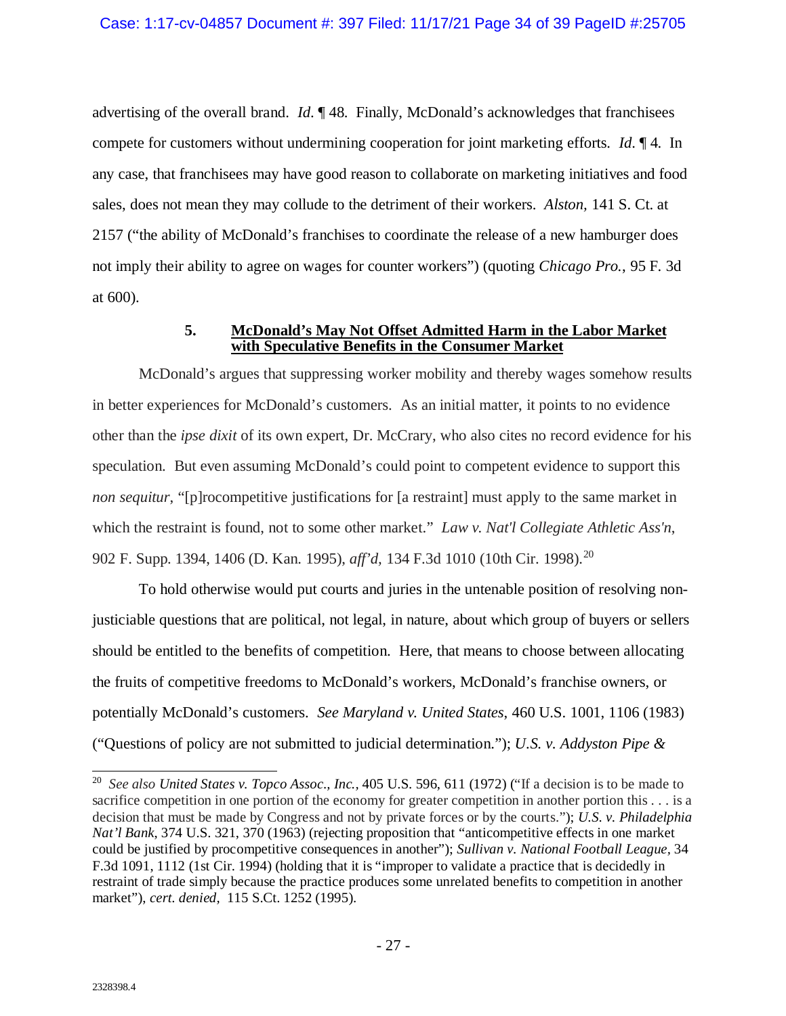advertising of the overall brand. *Id*. ¶ 48. Finally, McDonald's acknowledges that franchisees compete for customers without undermining cooperation for joint marketing efforts. *Id*. ¶ 4. In any case, that franchisees may have good reason to collaborate on marketing initiatives and food sales, does not mean they may collude to the detriment of their workers. *Alston,* 141 S. Ct. at 2157 ("the ability of McDonald's franchises to coordinate the release of a new hamburger does not imply their ability to agree on wages for counter workers") (quoting *Chicago Pro.*, 95 F. 3d at 600).

#### **5. McDonald's May Not Offset Admitted Harm in the Labor Market with Speculative Benefits in the Consumer Market**

<span id="page-33-0"></span>McDonald's argues that suppressing worker mobility and thereby wages somehow results in better experiences for McDonald's customers. As an initial matter, it points to no evidence other than the *ipse dixit* of its own expert, Dr. McCrary, who also cites no record evidence for his speculation. But even assuming McDonald's could point to competent evidence to support this *non sequitur*, "[p]rocompetitive justifications for [a restraint] must apply to the same market in which the restraint is found, not to some other market." *Law v. Nat'l Collegiate Athletic Ass'n*, 902 F. Supp. 1394, 1406 (D. Kan. 1995), *aff'd,* 134 F.3d 1010 (10th Cir. 1998). [20](#page-33-1)

To hold otherwise would put courts and juries in the untenable position of resolving nonjusticiable questions that are political, not legal, in nature, about which group of buyers or sellers should be entitled to the benefits of competition. Here, that means to choose between allocating the fruits of competitive freedoms to McDonald's workers, McDonald's franchise owners, or potentially McDonald's customers. *See Maryland v. United States*, 460 U.S. 1001, 1106 (1983) ("Questions of policy are not submitted to judicial determination."); *U.S. v. Addyston Pipe &* 

<span id="page-33-1"></span> <sup>20</sup> *See also United States v. Topco Assoc., Inc.,* 405 U.S. 596, 611 (1972) ("If a decision is to be made to sacrifice competition in one portion of the economy for greater competition in another portion this . . . is a decision that must be made by Congress and not by private forces or by the courts."); *U.S. v. Philadelphia Nat'l Bank*, 374 U.S. 321, 370 (1963) (rejecting proposition that "anticompetitive effects in one market could be justified by procompetitive consequences in another"); *Sullivan v. National Football League,* 34 F.3d 1091, 1112 (1st Cir. 1994) (holding that it is "improper to validate a practice that is decidedly in restraint of trade simply because the practice produces some unrelated benefits to competition in another market"), *cert. denied,* 115 S.Ct. 1252 (1995).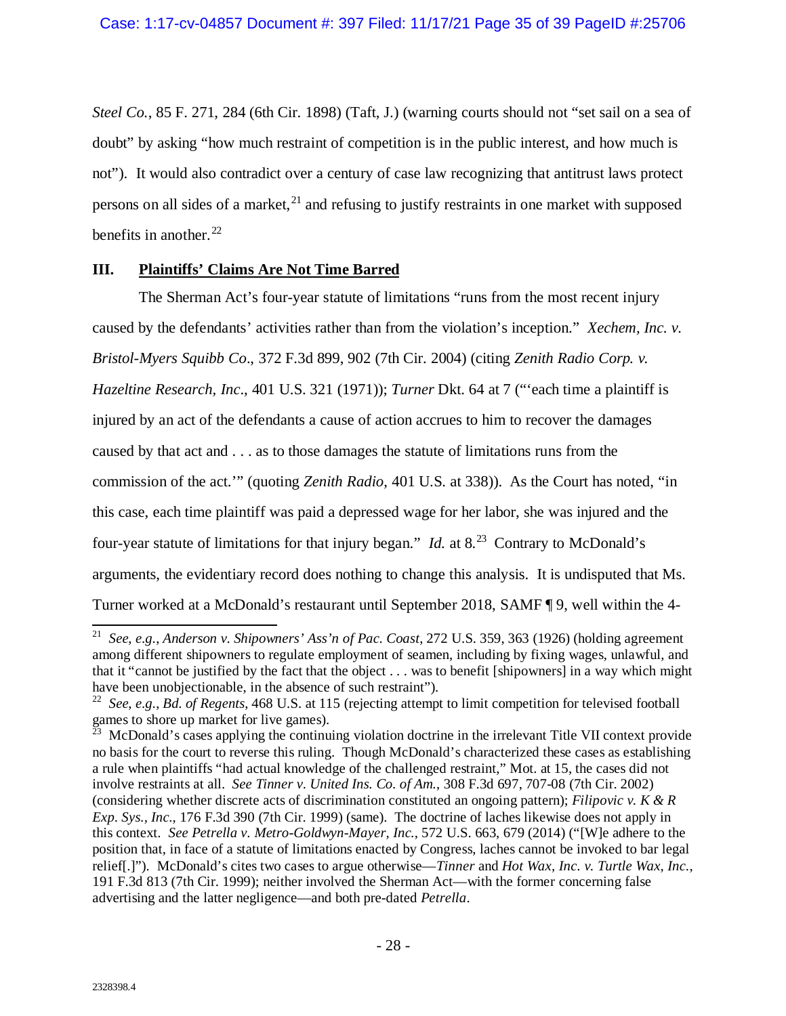*Steel Co.*, 85 F. 271, 284 (6th Cir. 1898) (Taft, J.) (warning courts should not "set sail on a sea of doubt" by asking "how much restraint of competition is in the public interest, and how much is not"). It would also contradict over a century of case law recognizing that antitrust laws protect persons on all sides of a market, $^{21}$  $^{21}$  $^{21}$  and refusing to justify restraints in one market with supposed benefits in another. $22$ 

## <span id="page-34-0"></span>**III. Plaintiffs' Claims Are Not Time Barred**

The Sherman Act's four-year statute of limitations "runs from the most recent injury caused by the defendants' activities rather than from the violation's inception." *Xechem, Inc. v. Bristol-Myers Squibb Co*., 372 F.3d 899, 902 (7th Cir. 2004) (citing *Zenith Radio Corp. v. Hazeltine Research, Inc*., 401 U.S. 321 (1971)); *Turner* Dkt. 64 at 7 ("'each time a plaintiff is injured by an act of the defendants a cause of action accrues to him to recover the damages caused by that act and . . . as to those damages the statute of limitations runs from the commission of the act.'" (quoting *Zenith Radio*, 401 U.S. at 338)). As the Court has noted, "in this case, each time plaintiff was paid a depressed wage for her labor, she was injured and the four-year statute of limitations for that injury began." *Id.* at  $8<sup>23</sup>$  $8<sup>23</sup>$  $8<sup>23</sup>$  Contrary to McDonald's arguments, the evidentiary record does nothing to change this analysis. It is undisputed that Ms. Turner worked at a McDonald's restaurant until September 2018, SAMF ¶ 9, well within the 4-

<span id="page-34-1"></span> <sup>21</sup> *See*, *e.g.*, *Anderson v. Shipowners' Ass'n of Pac. Coast*, 272 U.S. 359, 363 (1926) (holding agreement among different shipowners to regulate employment of seamen, including by fixing wages, unlawful, and that it "cannot be justified by the fact that the object . . . was to benefit [shipowners] in a way which might have been unobjectionable, in the absence of such restraint").

<span id="page-34-2"></span><sup>22</sup> *See*, *e.g.*, *Bd. of Regents*, 468 U.S. at 115 (rejecting attempt to limit competition for televised football games to shore up market for live games).

<span id="page-34-3"></span> $^{\overline{23}}$  McDonald's cases applying the continuing violation doctrine in the irrelevant Title VII context provide no basis for the court to reverse this ruling. Though McDonald's characterized these cases as establishing a rule when plaintiffs "had actual knowledge of the challenged restraint," Mot. at 15, the cases did not involve restraints at all. *See Tinner v. United Ins. Co. of Am.*, 308 F.3d 697, 707-08 (7th Cir. 2002) (considering whether discrete acts of discrimination constituted an ongoing pattern); *Filipovic v. K & R Exp. Sys., Inc.*, 176 F.3d 390 (7th Cir. 1999) (same). The doctrine of laches likewise does not apply in this context. *See Petrella v. Metro-Goldwyn-Mayer, Inc.*, 572 U.S. 663, 679 (2014) ("[W]e adhere to the position that, in face of a statute of limitations enacted by Congress, laches cannot be invoked to bar legal relief[.]"). McDonald's cites two cases to argue otherwise—*Tinner* and *Hot Wax, Inc. v. Turtle Wax, Inc.*, 191 F.3d 813 (7th Cir. 1999); neither involved the Sherman Act—with the former concerning false advertising and the latter negligence—and both pre-dated *Petrella*.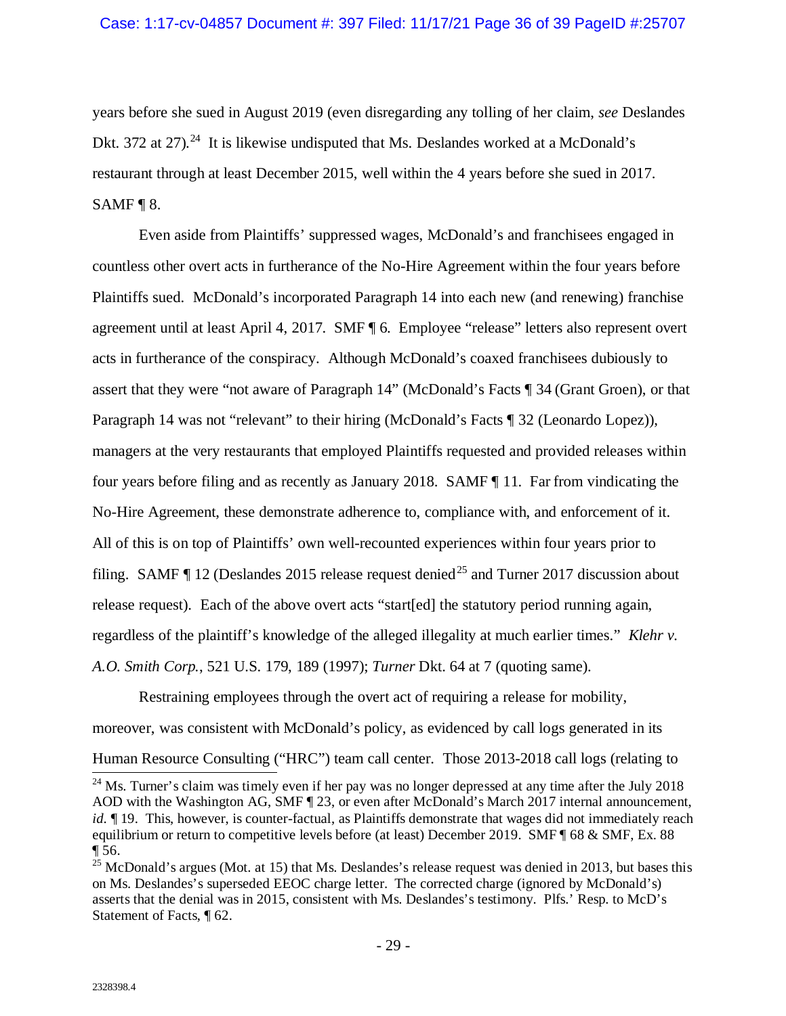years before she sued in August 2019 (even disregarding any tolling of her claim, *see* Deslandes Dkt. 372 at 27).<sup>[24](#page-35-0)</sup> It is likewise undisputed that Ms. Deslandes worked at a McDonald's restaurant through at least December 2015, well within the 4 years before she sued in 2017. SAMF ¶ 8.

Even aside from Plaintiffs' suppressed wages, McDonald's and franchisees engaged in countless other overt acts in furtherance of the No-Hire Agreement within the four years before Plaintiffs sued. McDonald's incorporated Paragraph 14 into each new (and renewing) franchise agreement until at least April 4, 2017. SMF ¶ 6. Employee "release" letters also represent overt acts in furtherance of the conspiracy. Although McDonald's coaxed franchisees dubiously to assert that they were "not aware of Paragraph 14" (McDonald's Facts ¶ 34 (Grant Groen), or that Paragraph 14 was not "relevant" to their hiring (McDonald's Facts ¶ 32 (Leonardo Lopez)), managers at the very restaurants that employed Plaintiffs requested and provided releases within four years before filing and as recently as January 2018. SAMF ¶ 11. Far from vindicating the No-Hire Agreement, these demonstrate adherence to, compliance with, and enforcement of it. All of this is on top of Plaintiffs' own well-recounted experiences within four years prior to filing. SAMF  $\P$  12 (Deslandes 2015 release request denied<sup>[25](#page-35-1)</sup> and Turner 2017 discussion about release request). Each of the above overt acts "start[ed] the statutory period running again, regardless of the plaintiff's knowledge of the alleged illegality at much earlier times." *Klehr v. A.O. Smith Corp.*, 521 U.S. 179, 189 (1997); *Turner* Dkt. 64 at 7 (quoting same).

Restraining employees through the overt act of requiring a release for mobility, moreover, was consistent with McDonald's policy, as evidenced by call logs generated in its

<span id="page-35-0"></span>Human Resource Consulting ("HRC") team call center. Those 2013-2018 call logs (relating to  $\frac{24 \text{ Ms}}{24 \text{ Ms}}$ . Turner's claim was timely even if her pay was no longer depressed at any time after the July 2018 AOD with the Washington AG, SMF ¶ 23, or even after McDonald's March 2017 internal announcement, *id.*  $\parallel$  19. This, however, is counter-factual, as Plaintiffs demonstrate that wages did not immediately reach equilibrium or return to competitive levels before (at least) December 2019. SMF ¶ 68 & SMF, Ex. 88 ¶ 56.

<span id="page-35-1"></span> $^{25}$  McDonald's argues (Mot. at 15) that Ms. Deslandes's release request was denied in 2013, but bases this on Ms. Deslandes's superseded EEOC charge letter. The corrected charge (ignored by McDonald's) asserts that the denial was in 2015, consistent with Ms. Deslandes's testimony. Plfs.' Resp. to McD's Statement of Facts, ¶ 62.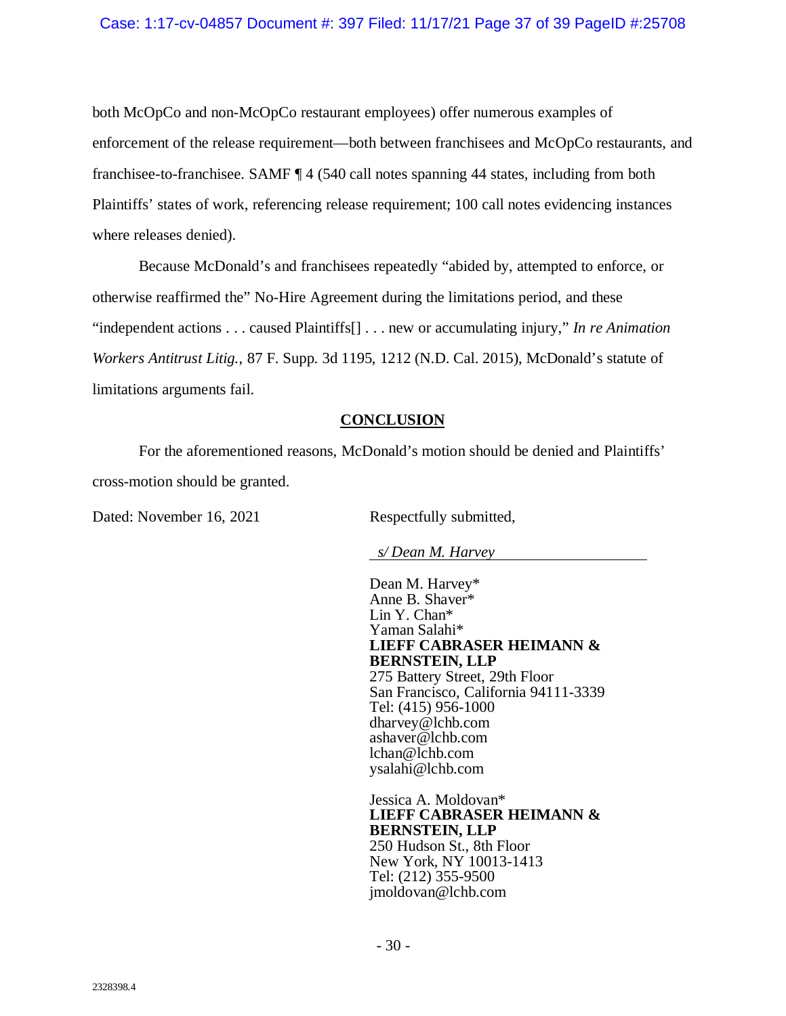both McOpCo and non-McOpCo restaurant employees) offer numerous examples of enforcement of the release requirement—both between franchisees and McOpCo restaurants, and franchisee-to-franchisee. SAMF ¶ 4 (540 call notes spanning 44 states, including from both Plaintiffs' states of work, referencing release requirement; 100 call notes evidencing instances where releases denied).

Because McDonald's and franchisees repeatedly "abided by, attempted to enforce, or otherwise reaffirmed the" No-Hire Agreement during the limitations period, and these "independent actions . . . caused Plaintiffs[] . . . new or accumulating injury," *In re Animation Workers Antitrust Litig.*, 87 F. Supp. 3d 1195, 1212 (N.D. Cal. 2015), McDonald's statute of limitations arguments fail.

## **CONCLUSION**

<span id="page-36-0"></span>For the aforementioned reasons, McDonald's motion should be denied and Plaintiffs' cross-motion should be granted.

Dated: November 16, 2021 Respectfully submitted,

*s/ Dean M. Harvey*

Dean M. Harvey\* Anne B. Shaver\* Lin Y. Chan\* Yaman Salahi\* **LIEFF CABRASER HEIMANN & BERNSTEIN, LLP** 275 Battery Street, 29th Floor San Francisco, California 94111-3339 Tel: (415) 956-1000 dharvey@lchb.com ashaver@lchb.com lchan@lchb.com ysalahi@lchb.com

Jessica A. Moldovan\* **LIEFF CABRASER HEIMANN & BERNSTEIN, LLP** 250 Hudson St., 8th Floor New York, NY 10013-1413 Tel: (212) 355-9500 jmoldovan@lchb.com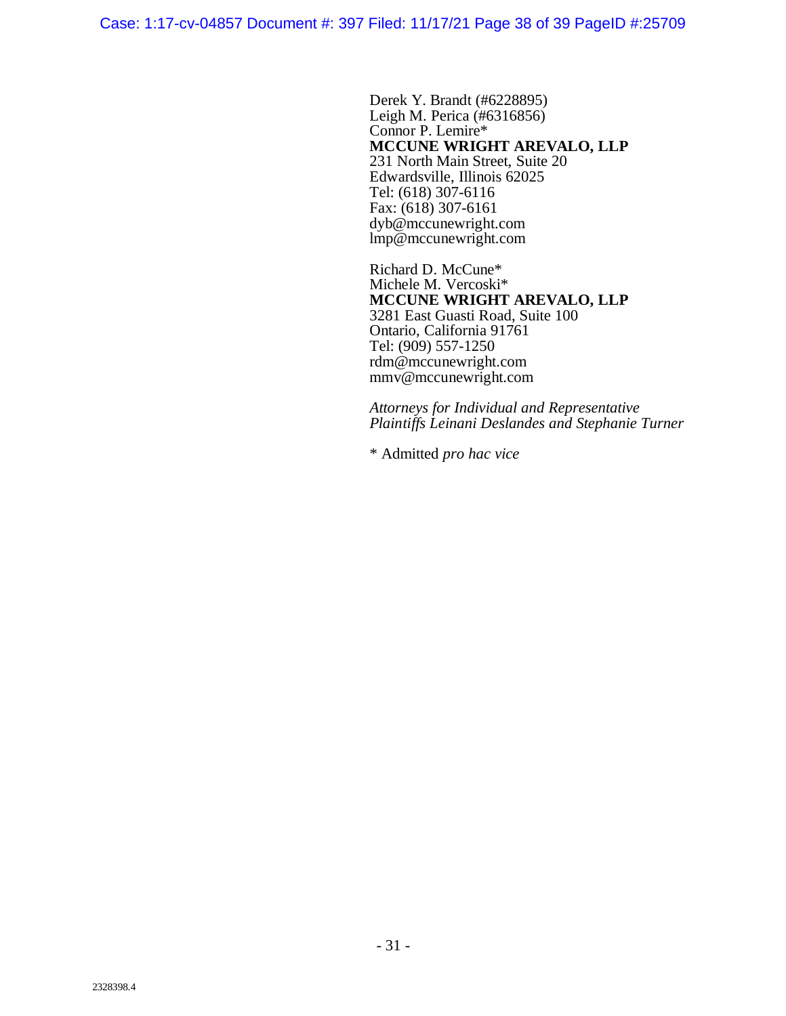Case: 1:17-cv-04857 Document #: 397 Filed: 11/17/21 Page 38 of 39 PageID #:25709

Derek Y. Brandt (#6228895) Leigh M. Perica (#6316856) Connor P. Lemire\* **MCCUNE WRIGHT AREVALO, LLP** 231 North Main Street, Suite 20 Edwardsville, Illinois 62025 Tel: (618) 307-6116 Fax: (618) 307-6161 dyb@mccunewright.com lmp@mccunewright.com

Richard D. McCune\* Michele M. Vercoski\* **MCCUNE WRIGHT AREVALO, LLP** 3281 East Guasti Road, Suite 100 Ontario, California 91761 Tel: (909) 557-1250 rdm@mccunewright.com mmv@mccunewright.com

*Attorneys for Individual and Representative Plaintiffs Leinani Deslandes and Stephanie Turner*

\* Admitted *pro hac vice*